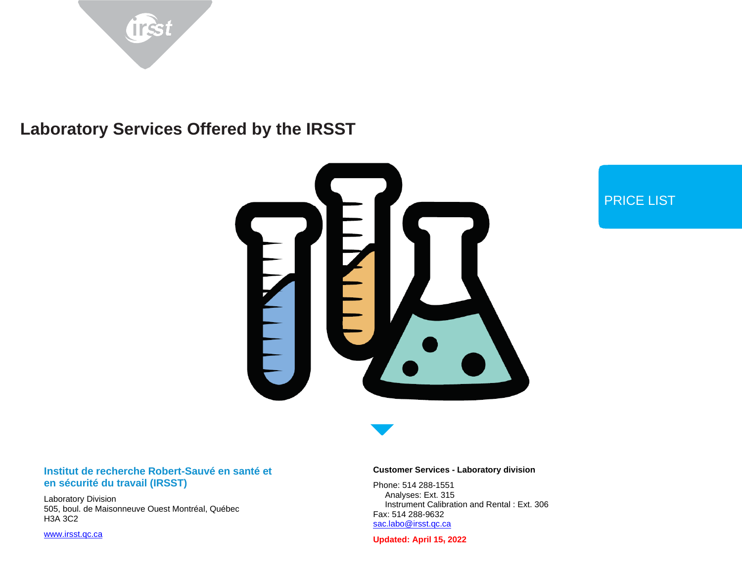



## PRICE LIST

#### **Institut de recherche Robert-Sauvé en santé et en sécurité du travail (IRSST)**

Laboratory Division 505, boul. de Maisonneuve Ouest Montréal, Québec H3A 3C2

[www.irsst.qc.ca](http://www.irsst.qc.ca/)

#### **Customer Services - Laboratory division**

Phone: 514 288-1551 Analyses: Ext. 315 Instrument Calibration and Rental : Ext. 306 Fax: 514 288-9632 [sac.labo@irsst.qc.ca](mailto:sac.labo@irsst.qc.ca)

**Updated: April 15, 2022**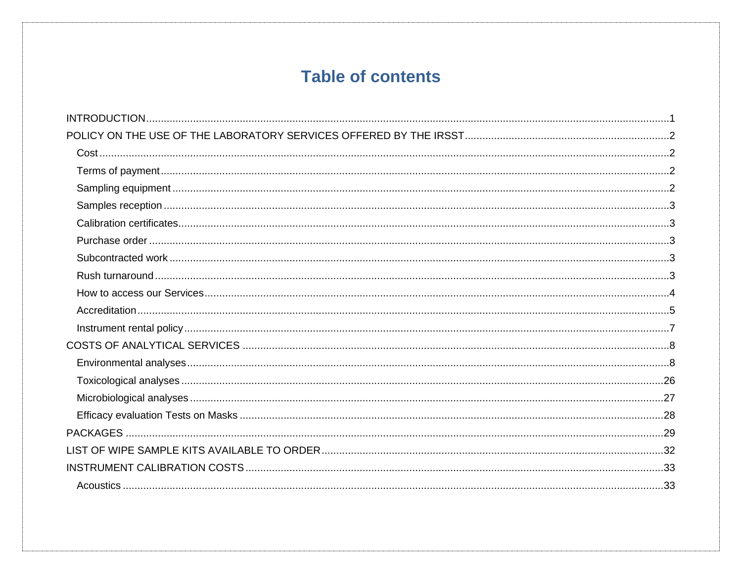# **Table of contents**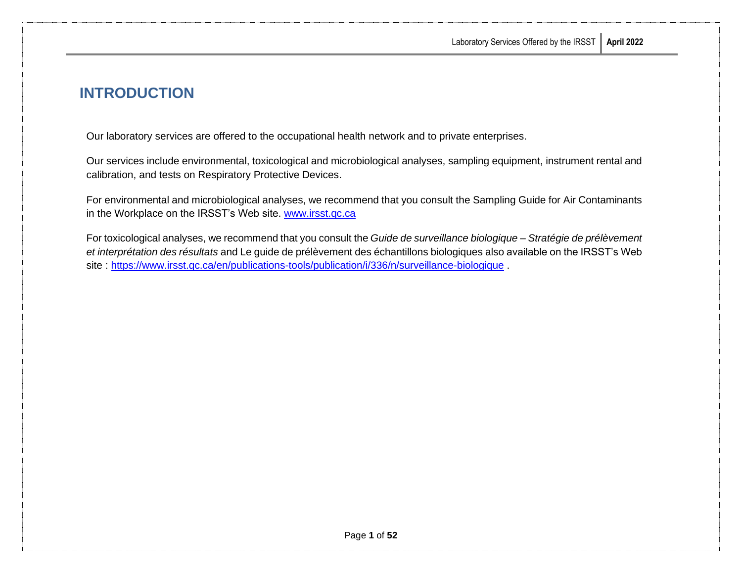# <span id="page-3-0"></span>**INTRODUCTION**

Our laboratory services are offered to the occupational health network and to private enterprises.

Our services include environmental, toxicological and microbiological analyses, sampling equipment, instrument rental and calibration, and tests on Respiratory Protective Devices.

For environmental and microbiological analyses, we recommend that you consult the Sampling Guide for Air Contaminants in the Workplace on the IRSST's Web site. [www.irsst.qc.ca](http://www.irsst.qc.ca/)

For toxicological analyses, we recommend that you consult the *Guide de surveillance biologique – Stratégie de prélèvement et interprétation des résultats* and Le guide de prélèvement des échantillons biologiques also available on the IRSST's Web site :<https://www.irsst.qc.ca/en/publications-tools/publication/i/336/n/surveillance-biologique> .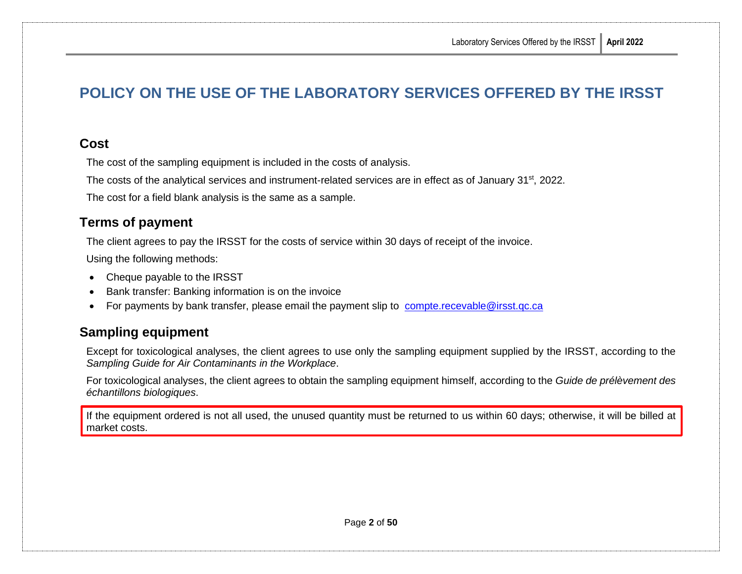# <span id="page-4-0"></span>**POLICY ON THE USE OF THE LABORATORY SERVICES OFFERED BY THE IRSST**

### <span id="page-4-1"></span>**Cost**

The cost of the sampling equipment is included in the costs of analysis.

The costs of the analytical services and instrument-related services are in effect as of January 31<sup>st</sup>, 2022.

The cost for a field blank analysis is the same as a sample.

### <span id="page-4-2"></span>**Terms of payment**

The client agrees to pay the IRSST for the costs of service within 30 days of receipt of the invoice.

Using the following methods:

- Cheque payable to the IRSST
- Bank transfer: Banking information is on the invoice
- For payments by bank transfer, please email the payment slip to [compte.recevable@irsst.qc.ca](mailto:compte.recevable@irsst.qc.ca)

### <span id="page-4-3"></span>**Sampling equipment**

Except for toxicological analyses, the client agrees to use only the sampling equipment supplied by the IRSST, according to the *Sampling Guide for Air Contaminants in the Workplace*.

For toxicological analyses, the client agrees to obtain the sampling equipment himself, according to the *Guide de prélèvement des échantillons biologiques*.

If the equipment ordered is not all used, the unused quantity must be returned to us within 60 days; otherwise, it will be billed at market costs.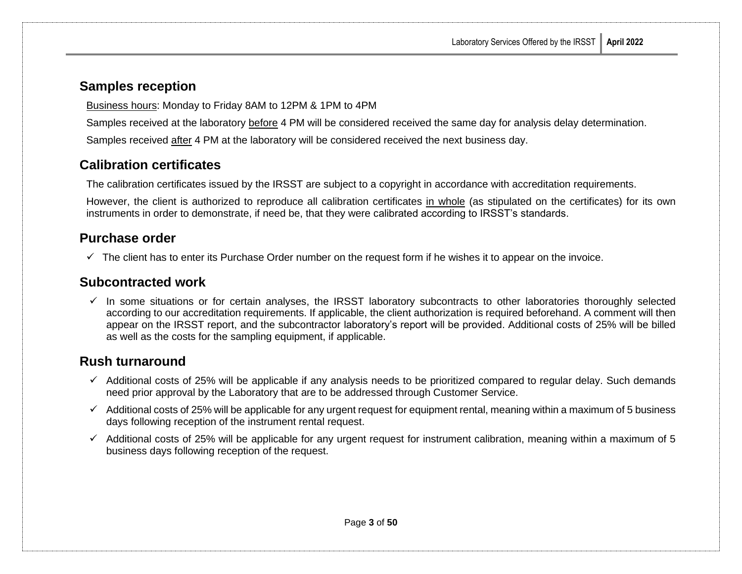### <span id="page-5-0"></span>**Samples reception**

Business hours: Monday to Friday 8AM to 12PM & 1PM to 4PM

Samples received at the laboratory before 4 PM will be considered received the same day for analysis delay determination.

Samples received after 4 PM at the laboratory will be considered received the next business day.

### <span id="page-5-1"></span>**Calibration certificates**

The calibration certificates issued by the IRSST are subject to a copyright in accordance with accreditation requirements.

However, the client is authorized to reproduce all calibration certificates in whole (as stipulated on the certificates) for its own instruments in order to demonstrate, if need be, that they were calibrated according to IRSST's standards.

### <span id="page-5-2"></span>**Purchase order**

 $\checkmark$  The client has to enter its Purchase Order number on the request form if he wishes it to appear on the invoice.

### <span id="page-5-3"></span>**Subcontracted work**

 $\checkmark$  In some situations or for certain analyses, the IRSST laboratory subcontracts to other laboratories thoroughly selected according to our accreditation requirements. If applicable, the client authorization is required beforehand. A comment will then appear on the IRSST report, and the subcontractor laboratory's report will be provided. Additional costs of 25% will be billed as well as the costs for the sampling equipment, if applicable.

# <span id="page-5-4"></span>**Rush turnaround**

- $\checkmark$  Additional costs of 25% will be applicable if any analysis needs to be prioritized compared to regular delay. Such demands need prior approval by the Laboratory that are to be addressed through Customer Service.
- $\checkmark$  Additional costs of 25% will be applicable for any urgent request for equipment rental, meaning within a maximum of 5 business days following reception of the instrument rental request.
- $\checkmark$  Additional costs of 25% will be applicable for any urgent request for instrument calibration, meaning within a maximum of 5 business days following reception of the request.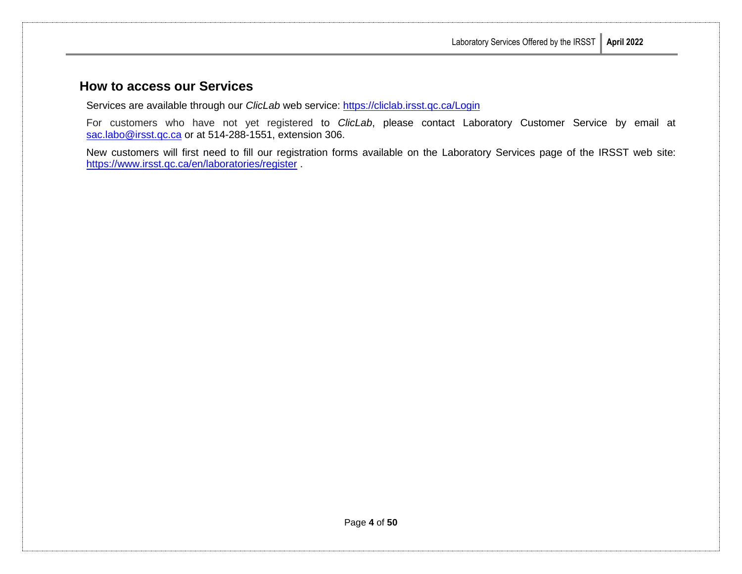### <span id="page-6-0"></span>**How to access our Services**

Services are available through our *ClicLab* web service:<https://cliclab.irsst.qc.ca/Login>

For customers who have not yet registered to *ClicLab*, please contact Laboratory Customer Service by email at [sac.labo@irsst.qc.ca](mailto:sac.labo@irsst.qc.ca) or at 514-288-1551, extension 306.

New customers will first need to fill our registration forms available on the Laboratory Services page of the IRSST web site: <https://www.irsst.qc.ca/en/laboratories/register> .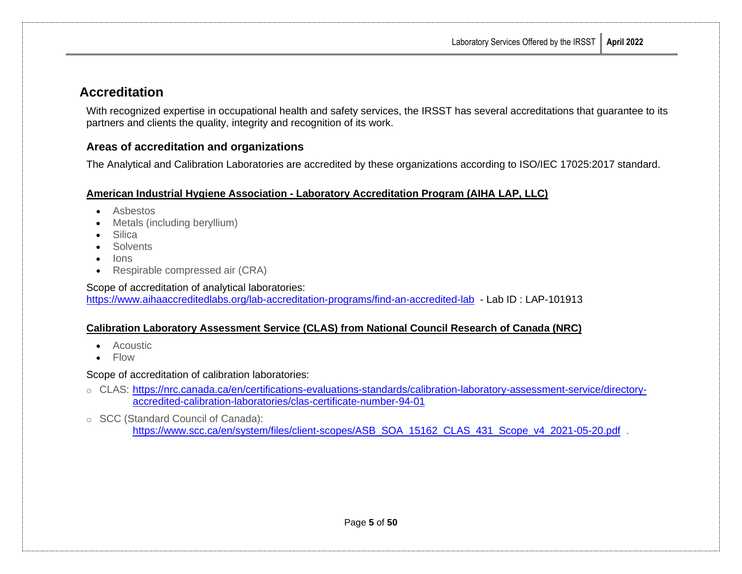### <span id="page-7-0"></span>**Accreditation**

With recognized expertise in occupational health and safety services, the IRSST has several accreditations that guarantee to its partners and clients the quality, integrity and recognition of its work.

#### **Areas of accreditation and organizations**

The Analytical and Calibration Laboratories are accredited by these organizations according to ISO/IEC 17025:2017 standard.

#### **[American Industrial Hygiene Association -](http://www.aiha.org/Pages/default.aspx) Laboratory Accreditation Program (AIHA LAP, LLC)**

- Asbestos
- Metals (including beryllium)
- Silica
- Solvents
- Ions
- Respirable compressed air (CRA)

Scope of accreditation of analytical laboratories: <https://www.aihaaccreditedlabs.org/lab-accreditation-programs/find-an-accredited-lab>- Lab ID : LAP-101913

#### **[Calibration Laboratory Assessment Service](http://www.nrc-cnrc.gc.ca/fra/services/ienm/laboratoires-etalonnage.html) (CLAS) from National Council Research of Canada (NRC)**

- Acoustic
- Flow

Scope of accreditation of calibration laboratories:

- o CLAS: [https://nrc.canada.ca/en/certifications-evaluations-standards/calibration-laboratory-assessment-service/directory](https://nrc.canada.ca/en/certifications-evaluations-standards/calibration-laboratory-assessment-service/directory-accredited-calibration-laboratories/clas-certificate-number-94-01)[accredited-calibration-laboratories/clas-certificate-number-94-01](https://nrc.canada.ca/en/certifications-evaluations-standards/calibration-laboratory-assessment-service/directory-accredited-calibration-laboratories/clas-certificate-number-94-01)
- o SCC (Standard Council of Canada): [https://www.scc.ca/en/system/files/client-scopes/ASB\\_SOA\\_15162\\_CLAS\\_431\\_Scope\\_v4\\_2021-05-20.pdf](https://www.scc.ca/en/system/files/client-scopes/ASB_SOA_15162_CLAS_431_Scope_v4_2021-05-20.pdf) .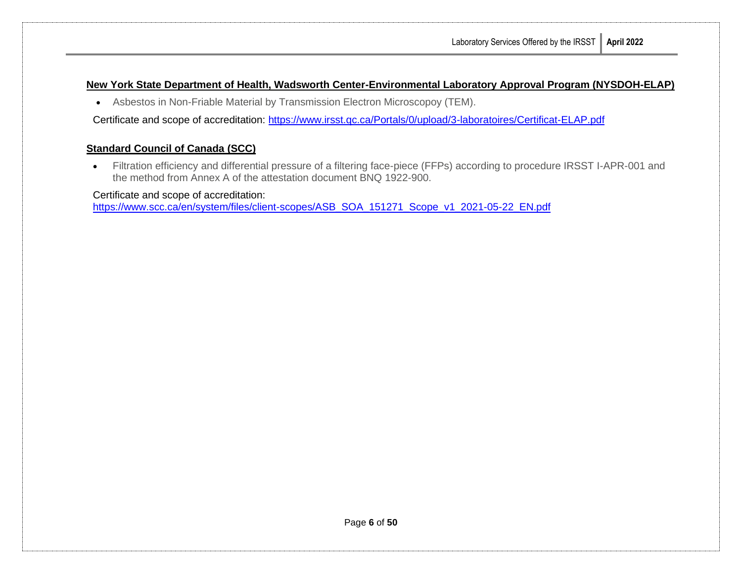#### **New York State Department of Health, Wadsworth Center-Environmental Laboratory Approval Program (NYSDOH-ELAP)**

• Asbestos in Non-Friable Material by Transmission Electron Microscopoy (TEM).

Certificate and scope of accreditation:<https://www.irsst.qc.ca/Portals/0/upload/3-laboratoires/Certificat-ELAP.pdf>

#### **Standard Council of Canada (SCC)**

• Filtration efficiency and differential pressure of a filtering face-piece (FFPs) according to procedure IRSST I-APR-001 and the method from Annex A of the attestation document BNQ 1922-900.

Certificate and scope of accreditation:

[https://www.scc.ca/en/system/files/client-scopes/ASB\\_SOA\\_151271\\_Scope\\_v1\\_2021-05-22\\_EN.pdf](https://www.scc.ca/en/system/files/client-scopes/ASB_SOA_151271_Scope_v1_2021-05-22_EN.pdf)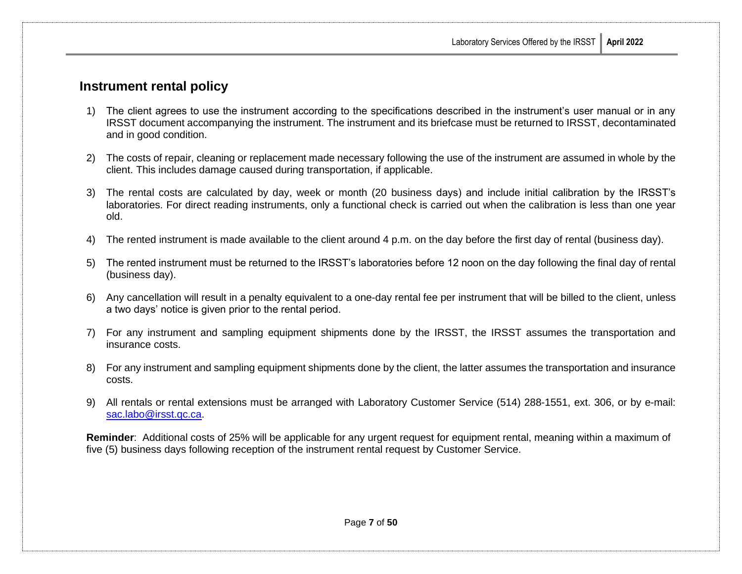### <span id="page-9-0"></span>**Instrument rental policy**

- 1) The client agrees to use the instrument according to the specifications described in the instrument's user manual or in any IRSST document accompanying the instrument. The instrument and its briefcase must be returned to IRSST, decontaminated and in good condition.
- 2) The costs of repair, cleaning or replacement made necessary following the use of the instrument are assumed in whole by the client. This includes damage caused during transportation, if applicable.
- 3) The rental costs are calculated by day, week or month (20 business days) and include initial calibration by the IRSST's laboratories. For direct reading instruments, only a functional check is carried out when the calibration is less than one year old.
- 4) The rented instrument is made available to the client around 4 p.m. on the day before the first day of rental (business day).
- 5) The rented instrument must be returned to the IRSST's laboratories before 12 noon on the day following the final day of rental (business day).
- 6) Any cancellation will result in a penalty equivalent to a one-day rental fee per instrument that will be billed to the client, unless a two days' notice is given prior to the rental period.
- 7) For any instrument and sampling equipment shipments done by the IRSST, the IRSST assumes the transportation and insurance costs.
- 8) For any instrument and sampling equipment shipments done by the client, the latter assumes the transportation and insurance costs.
- 9) All rentals or rental extensions must be arranged with Laboratory Customer Service (514) 288-1551, ext. 306, or by e-mail: [sac.labo@irsst.qc.ca.](mailto:sac.labo@irsst.qc.ca)

**Reminder**: Additional costs of 25% will be applicable for any urgent request for equipment rental, meaning within a maximum of five (5) business days following reception of the instrument rental request by Customer Service.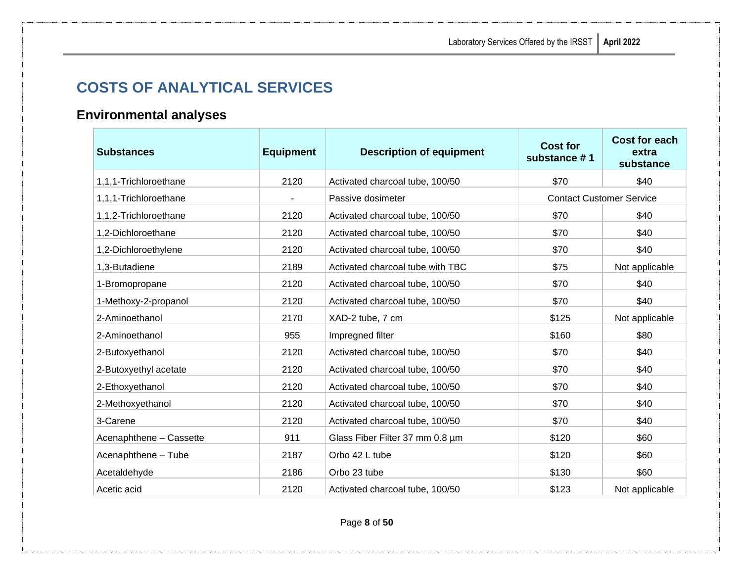# <span id="page-10-0"></span>**COSTS OF ANALYTICAL SERVICES**

# <span id="page-10-1"></span>**Environmental analyses**

| <b>Substances</b>       | <b>Equipment</b> | <b>Description of equipment</b>  | <b>Cost for</b><br>substance #1 | <b>Cost for each</b><br>extra<br>substance |
|-------------------------|------------------|----------------------------------|---------------------------------|--------------------------------------------|
| 1,1,1-Trichloroethane   | 2120             | Activated charcoal tube, 100/50  | \$70                            | \$40                                       |
| 1,1,1-Trichloroethane   |                  | Passive dosimeter                | <b>Contact Customer Service</b> |                                            |
| 1,1,2-Trichloroethane   | 2120             | Activated charcoal tube, 100/50  | \$70                            | \$40                                       |
| 1,2-Dichloroethane      | 2120             | Activated charcoal tube, 100/50  | \$70                            | \$40                                       |
| 1,2-Dichloroethylene    | 2120             | Activated charcoal tube, 100/50  | \$70                            | \$40                                       |
| 1,3-Butadiene           | 2189             | Activated charcoal tube with TBC | \$75                            | Not applicable                             |
| 1-Bromopropane          | 2120             | Activated charcoal tube, 100/50  | \$70                            | \$40                                       |
| 1-Methoxy-2-propanol    | 2120             | Activated charcoal tube, 100/50  | \$70                            | \$40                                       |
| 2-Aminoethanol          | 2170             | XAD-2 tube, 7 cm                 | \$125                           | Not applicable                             |
| 2-Aminoethanol          | 955              | Impregned filter                 | \$160                           | \$80                                       |
| 2-Butoxyethanol         | 2120             | Activated charcoal tube, 100/50  | \$70                            | \$40                                       |
| 2-Butoxyethyl acetate   | 2120             | Activated charcoal tube, 100/50  | \$70                            | \$40                                       |
| 2-Ethoxyethanol         | 2120             | Activated charcoal tube, 100/50  | \$70                            | \$40                                       |
| 2-Methoxyethanol        | 2120             | Activated charcoal tube, 100/50  | \$70                            | \$40                                       |
| 3-Carene                | 2120             | Activated charcoal tube, 100/50  | \$70                            | \$40                                       |
| Acenaphthene - Cassette | 911              | Glass Fiber Filter 37 mm 0.8 um  | \$120                           | \$60                                       |
| Acenaphthene - Tube     | 2187             | Orbo 42 L tube                   | \$120                           | \$60                                       |
| Acetaldehyde            | 2186             | Orbo 23 tube                     | \$130                           | \$60                                       |
| Acetic acid             | 2120             | Activated charcoal tube, 100/50  | \$123                           | Not applicable                             |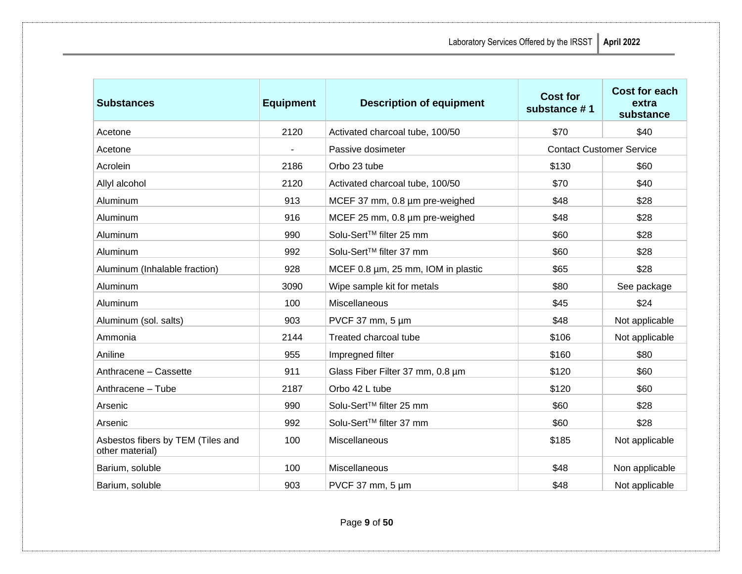| <b>Substances</b>                                    | <b>Equipment</b> | <b>Description of equipment</b>    | <b>Cost for</b><br>substance #1 | <b>Cost for each</b><br>extra<br>substance |
|------------------------------------------------------|------------------|------------------------------------|---------------------------------|--------------------------------------------|
| Acetone                                              | 2120             | Activated charcoal tube, 100/50    | \$70                            | \$40                                       |
| Acetone                                              |                  | Passive dosimeter                  | <b>Contact Customer Service</b> |                                            |
| Acrolein                                             | 2186             | Orbo 23 tube                       | \$130                           | \$60                                       |
| Allyl alcohol                                        | 2120             | Activated charcoal tube, 100/50    | \$70                            | \$40                                       |
| Aluminum                                             | 913              | MCEF 37 mm, 0.8 µm pre-weighed     | \$48                            | \$28                                       |
| Aluminum                                             | 916              | MCEF 25 mm, 0.8 µm pre-weighed     | \$48                            | \$28                                       |
| Aluminum                                             | 990              | Solu-Sert™ filter 25 mm            | \$60                            | \$28                                       |
| Aluminum                                             | 992              | Solu-Sert™ filter 37 mm            | \$60                            | \$28                                       |
| Aluminum (Inhalable fraction)                        | 928              | MCEF 0.8 µm, 25 mm, IOM in plastic | \$65                            | \$28                                       |
| Aluminum                                             | 3090             | Wipe sample kit for metals         | \$80                            | See package                                |
| Aluminum                                             | 100              | Miscellaneous                      | \$45                            | \$24                                       |
| Aluminum (sol. salts)                                | 903              | PVCF 37 mm, $5 \mu m$              | \$48                            | Not applicable                             |
| Ammonia                                              | 2144             | Treated charcoal tube              | \$106                           | Not applicable                             |
| Aniline                                              | 955              | Impregned filter                   | \$160                           | \$80                                       |
| Anthracene - Cassette                                | 911              | Glass Fiber Filter 37 mm, 0.8 um   | \$120                           | \$60                                       |
| Anthracene - Tube                                    | 2187             | Orbo 42 L tube                     | \$120                           | \$60                                       |
| Arsenic                                              | 990              | Solu-Sert™ filter 25 mm            | \$60                            | \$28                                       |
| Arsenic                                              | 992              | Solu-Sert™ filter 37 mm            | \$60                            | \$28                                       |
| Asbestos fibers by TEM (Tiles and<br>other material) | 100              | Miscellaneous                      | \$185                           | Not applicable                             |
| Barium, soluble                                      | 100              | Miscellaneous                      | \$48                            | Non applicable                             |
| Barium, soluble                                      | 903              | PVCF 37 mm, $5 \mu m$              | \$48                            | Not applicable                             |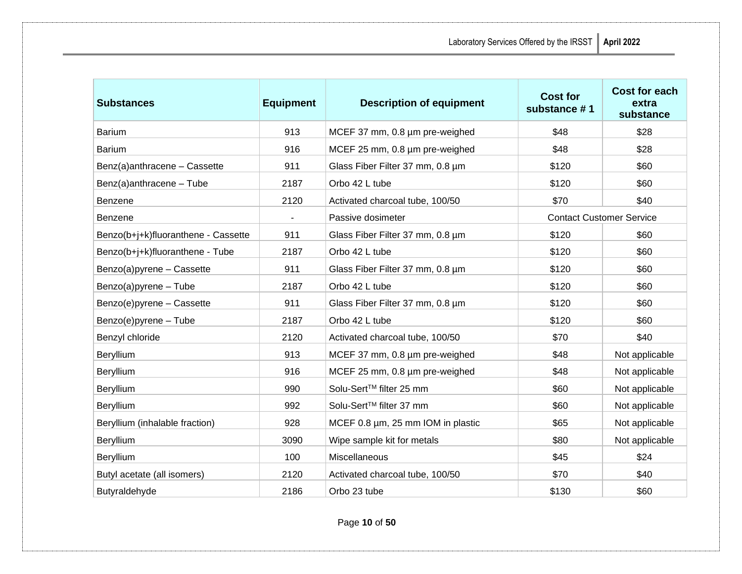| <b>Substances</b>                   | <b>Equipment</b> | <b>Description of equipment</b>   | <b>Cost for</b><br>substance #1 | <b>Cost for each</b><br>extra<br>substance |
|-------------------------------------|------------------|-----------------------------------|---------------------------------|--------------------------------------------|
| <b>Barium</b>                       | 913              | MCEF 37 mm, 0.8 µm pre-weighed    | \$48                            | \$28                                       |
| <b>Barium</b>                       | 916              | MCEF 25 mm, 0.8 µm pre-weighed    | \$48                            | \$28                                       |
| Benz(a)anthracene - Cassette        | 911              | Glass Fiber Filter 37 mm, 0.8 um  | \$120                           | \$60                                       |
| Benz(a)anthracene - Tube            | 2187             | Orbo 42 L tube                    | \$120                           | \$60                                       |
| <b>Benzene</b>                      | 2120             | Activated charcoal tube, 100/50   | \$70                            | \$40                                       |
| Benzene                             | $\blacksquare$   | Passive dosimeter                 | <b>Contact Customer Service</b> |                                            |
| Benzo(b+j+k)fluoranthene - Cassette | 911              | Glass Fiber Filter 37 mm, 0.8 um  | \$120                           | \$60                                       |
| Benzo(b+j+k)fluoranthene - Tube     | 2187             | Orbo 42 L tube                    | \$120                           | \$60                                       |
| Benzo(a)pyrene - Cassette           | 911              | Glass Fiber Filter 37 mm, 0.8 um  | \$120                           | \$60                                       |
| Benzo(a)pyrene - Tube               | 2187             | Orbo 42 L tube                    | \$120                           | \$60                                       |
| Benzo(e)pyrene - Cassette           | 911              | Glass Fiber Filter 37 mm, 0.8 µm  | \$120                           | \$60                                       |
| Benzo(e)pyrene - Tube               | 2187             | Orbo 42 L tube                    | \$120                           | \$60                                       |
| Benzyl chloride                     | 2120             | Activated charcoal tube, 100/50   | \$70                            | \$40                                       |
| Beryllium                           | 913              | MCEF 37 mm, 0.8 µm pre-weighed    | \$48                            | Not applicable                             |
| Beryllium                           | 916              | MCEF 25 mm, 0.8 µm pre-weighed    | \$48                            | Not applicable                             |
| Beryllium                           | 990              | Solu-Sert™ filter 25 mm           | \$60                            | Not applicable                             |
| Beryllium                           | 992              | Solu-Sert™ filter 37 mm           | \$60                            | Not applicable                             |
| Beryllium (inhalable fraction)      | 928              | MCEF 0.8 µm, 25 mm IOM in plastic | \$65                            | Not applicable                             |
| Beryllium                           | 3090             | Wipe sample kit for metals        | \$80                            | Not applicable                             |
| Beryllium                           | 100              | Miscellaneous                     | \$45                            | \$24                                       |
| Butyl acetate (all isomers)         | 2120             | Activated charcoal tube, 100/50   | \$70                            | \$40                                       |
| Butyraldehyde                       | 2186             | Orbo 23 tube                      | \$130                           | \$60                                       |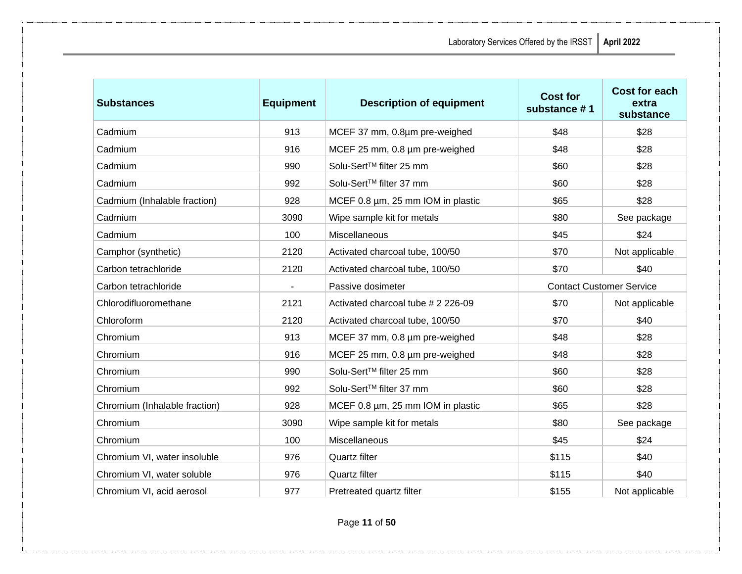| <b>Substances</b>             | <b>Equipment</b> | <b>Description of equipment</b>    | <b>Cost for</b><br>substance #1 | Cost for each<br>extra<br>substance |
|-------------------------------|------------------|------------------------------------|---------------------------------|-------------------------------------|
| Cadmium                       | 913              | MCEF 37 mm, 0.8um pre-weighed      | \$48                            | \$28                                |
| Cadmium                       | 916              | MCEF 25 mm, 0.8 µm pre-weighed     | \$48                            | \$28                                |
| Cadmium                       | 990              | Solu-Sert™ filter 25 mm            | \$60                            | \$28                                |
| Cadmium                       | 992              | Solu-Sert™ filter 37 mm            | \$60                            | \$28                                |
| Cadmium (Inhalable fraction)  | 928              | MCEF 0.8 µm, 25 mm IOM in plastic  | \$65                            | \$28                                |
| Cadmium                       | 3090             | Wipe sample kit for metals         | \$80                            | See package                         |
| Cadmium                       | 100              | <b>Miscellaneous</b>               | \$45                            | \$24                                |
| Camphor (synthetic)           | 2120             | Activated charcoal tube, 100/50    | \$70                            | Not applicable                      |
| Carbon tetrachloride          | 2120             | Activated charcoal tube, 100/50    | \$70                            | \$40                                |
| Carbon tetrachloride          |                  | Passive dosimeter                  | <b>Contact Customer Service</b> |                                     |
| Chlorodifluoromethane         | 2121             | Activated charcoal tube # 2 226-09 | \$70                            | Not applicable                      |
| Chloroform                    | 2120             | Activated charcoal tube, 100/50    | \$70                            | \$40                                |
| Chromium                      | 913              | MCEF 37 mm, 0.8 µm pre-weighed     | \$48                            | \$28                                |
| Chromium                      | 916              | MCEF 25 mm, 0.8 µm pre-weighed     | \$48                            | \$28                                |
| Chromium                      | 990              | Solu-Sert™ filter 25 mm            | \$60                            | \$28                                |
| Chromium                      | 992              | Solu-Sert™ filter 37 mm            | \$60                            | \$28                                |
| Chromium (Inhalable fraction) | 928              | MCEF 0.8 µm, 25 mm IOM in plastic  | \$65                            | \$28                                |
| Chromium                      | 3090             | Wipe sample kit for metals         | \$80                            | See package                         |
| Chromium                      | 100              | Miscellaneous                      | \$45                            | \$24                                |
| Chromium VI, water insoluble  | 976              | Quartz filter                      | \$115                           | \$40                                |
| Chromium VI, water soluble    | 976              | Quartz filter                      | \$115                           | \$40                                |
| Chromium VI, acid aerosol     | 977              | Pretreated quartz filter           | \$155                           | Not applicable                      |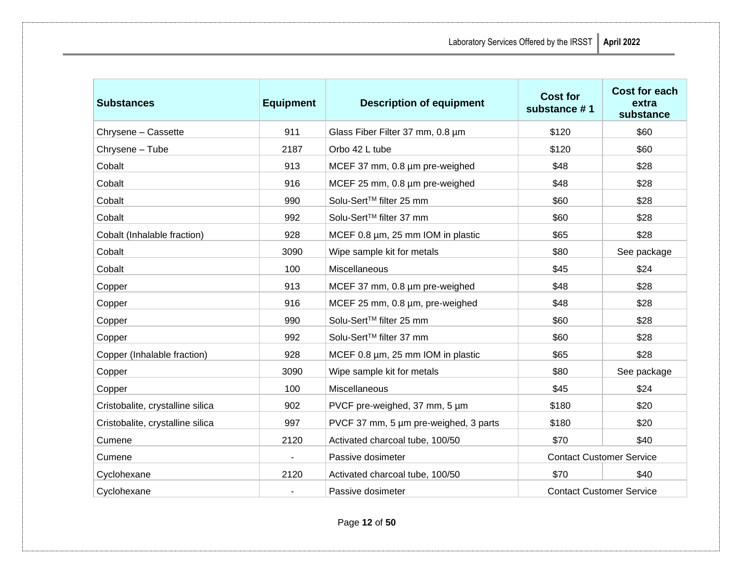| <b>Substances</b>                | <b>Equipment</b> | <b>Description of equipment</b>       | <b>Cost for</b><br>substance #1 | <b>Cost for each</b><br>extra<br>substance |
|----------------------------------|------------------|---------------------------------------|---------------------------------|--------------------------------------------|
| Chrysene - Cassette              | 911              | Glass Fiber Filter 37 mm, 0.8 um      | \$120                           | \$60                                       |
| Chrysene - Tube                  | 2187             | Orbo 42 L tube                        | \$120                           | \$60                                       |
| Cobalt                           | 913              | MCEF 37 mm, 0.8 µm pre-weighed        | \$48                            | \$28                                       |
| Cobalt                           | 916              | MCEF 25 mm, 0.8 µm pre-weighed        | \$48                            | \$28                                       |
| Cobalt                           | 990              | Solu-Sert™ filter 25 mm               | \$60                            | \$28                                       |
| Cobalt                           | 992              | Solu-Sert™ filter 37 mm               | \$60                            | \$28                                       |
| Cobalt (Inhalable fraction)      | 928              | MCEF 0.8 µm, 25 mm IOM in plastic     | \$65                            | \$28                                       |
| Cobalt                           | 3090             | Wipe sample kit for metals            | \$80                            | See package                                |
| Cobalt                           | 100              | Miscellaneous                         | \$45                            | \$24                                       |
| Copper                           | 913              | MCEF 37 mm, 0.8 µm pre-weighed        | \$48                            | \$28                                       |
| Copper                           | 916              | MCEF 25 mm, 0.8 um, pre-weighed       | \$48                            | \$28                                       |
| Copper                           | 990              | Solu-Sert™ filter 25 mm               | \$60                            | \$28                                       |
| Copper                           | 992              | Solu-Sert™ filter 37 mm               | \$60                            | \$28                                       |
| Copper (Inhalable fraction)      | 928              | MCEF 0.8 µm, 25 mm IOM in plastic     | \$65                            | \$28                                       |
| Copper                           | 3090             | Wipe sample kit for metals            | \$80                            | See package                                |
| Copper                           | 100              | Miscellaneous                         | \$45                            | \$24                                       |
| Cristobalite, crystalline silica | 902              | PVCF pre-weighed, 37 mm, 5 µm         | \$180                           | \$20                                       |
| Cristobalite, crystalline silica | 997              | PVCF 37 mm, 5 µm pre-weighed, 3 parts | \$180                           | \$20                                       |
| Cumene                           | 2120             | Activated charcoal tube, 100/50       | \$70                            | \$40                                       |
| Cumene                           |                  | Passive dosimeter                     | <b>Contact Customer Service</b> |                                            |
| Cyclohexane                      | 2120             | Activated charcoal tube, 100/50       | \$70                            | \$40                                       |
| Cyclohexane                      |                  | Passive dosimeter                     | <b>Contact Customer Service</b> |                                            |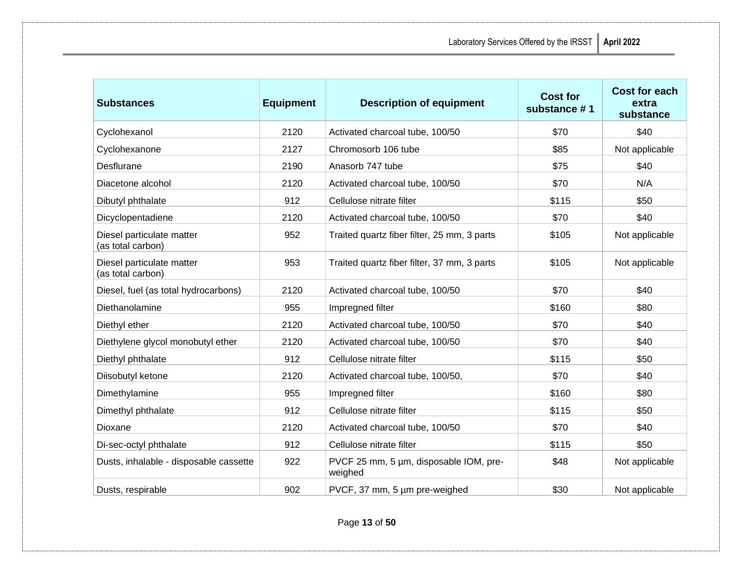| <b>Substances</b>                              | <b>Equipment</b> | <b>Description of equipment</b>                   | <b>Cost for</b><br>substance #1 | <b>Cost for each</b><br>extra<br>substance |
|------------------------------------------------|------------------|---------------------------------------------------|---------------------------------|--------------------------------------------|
| Cyclohexanol                                   | 2120             | Activated charcoal tube, 100/50                   | \$70                            | \$40                                       |
| Cyclohexanone                                  | 2127             | Chromosorb 106 tube                               | \$85                            | Not applicable                             |
| Desflurane                                     | 2190             | Anasorb 747 tube                                  | \$75                            | \$40                                       |
| Diacetone alcohol                              | 2120             | Activated charcoal tube, 100/50                   | \$70                            | N/A                                        |
| Dibutyl phthalate                              | 912              | Cellulose nitrate filter                          | \$115                           | \$50                                       |
| Dicyclopentadiene                              | 2120             | Activated charcoal tube, 100/50                   | \$70                            | \$40                                       |
| Diesel particulate matter<br>(as total carbon) | 952              | Traited quartz fiber filter, 25 mm, 3 parts       | \$105                           | Not applicable                             |
| Diesel particulate matter<br>(as total carbon) | 953              | Traited quartz fiber filter, 37 mm, 3 parts       | \$105                           | Not applicable                             |
| Diesel, fuel (as total hydrocarbons)           | 2120             | Activated charcoal tube, 100/50                   | \$70                            | \$40                                       |
| Diethanolamine                                 | 955              | Impregned filter                                  | \$160                           | \$80                                       |
| Diethyl ether                                  | 2120             | Activated charcoal tube, 100/50                   | \$70                            | \$40                                       |
| Diethylene glycol monobutyl ether              | 2120             | Activated charcoal tube, 100/50                   | \$70                            | \$40                                       |
| Diethyl phthalate                              | 912              | Cellulose nitrate filter                          | \$115                           | \$50                                       |
| Diisobutyl ketone                              | 2120             | Activated charcoal tube, 100/50,                  | \$70                            | \$40                                       |
| Dimethylamine                                  | 955              | Impregned filter                                  | \$160                           | \$80                                       |
| Dimethyl phthalate                             | 912              | Cellulose nitrate filter                          | \$115                           | \$50                                       |
| Dioxane                                        | 2120             | Activated charcoal tube, 100/50                   | \$70                            | \$40                                       |
| Di-sec-octyl phthalate                         | 912              | Cellulose nitrate filter                          | \$115                           | \$50                                       |
| Dusts, inhalable - disposable cassette         | 922              | PVCF 25 mm, 5 µm, disposable IOM, pre-<br>weighed | \$48                            | Not applicable                             |
| Dusts, respirable                              | 902              | PVCF, 37 mm, 5 µm pre-weighed                     | \$30                            | Not applicable                             |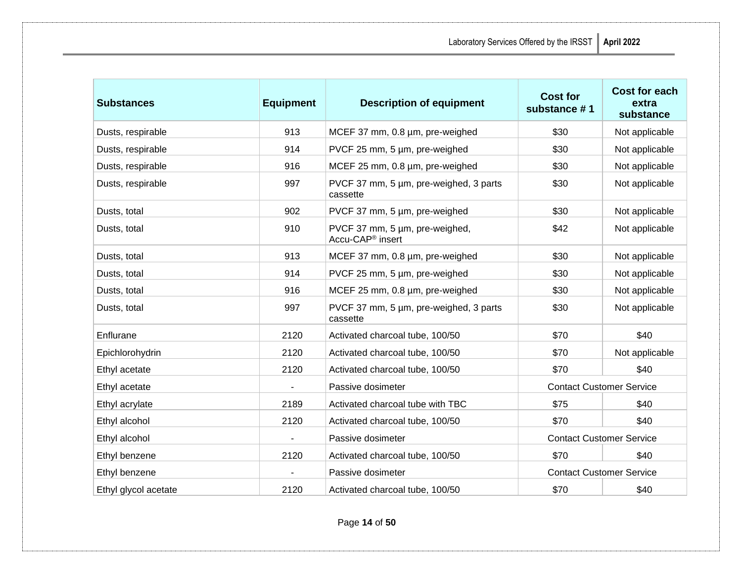| <b>Substances</b>    | <b>Equipment</b> | <b>Description of equipment</b>                                | <b>Cost for</b><br>substance #1 | Cost for each<br>extra<br>substance |
|----------------------|------------------|----------------------------------------------------------------|---------------------------------|-------------------------------------|
| Dusts, respirable    | 913              | MCEF 37 mm, 0.8 um, pre-weighed                                | \$30                            | Not applicable                      |
| Dusts, respirable    | 914              | PVCF 25 mm, 5 µm, pre-weighed                                  | \$30                            | Not applicable                      |
| Dusts, respirable    | 916              | MCEF 25 mm, 0.8 um, pre-weighed                                | \$30                            | Not applicable                      |
| Dusts, respirable    | 997              | PVCF 37 mm, 5 µm, pre-weighed, 3 parts<br>cassette             | \$30                            | Not applicable                      |
| Dusts, total         | 902              | PVCF 37 mm, 5 µm, pre-weighed                                  | \$30                            | Not applicable                      |
| Dusts, total         | 910              | PVCF 37 mm, 5 um, pre-weighed,<br>Accu-CAP <sup>®</sup> insert | \$42                            | Not applicable                      |
| Dusts, total         | 913              | MCEF 37 mm, 0.8 um, pre-weighed                                | \$30                            | Not applicable                      |
| Dusts, total         | 914              | PVCF 25 mm, 5 µm, pre-weighed                                  | \$30                            | Not applicable                      |
| Dusts, total         | 916              | MCEF 25 mm, 0.8 um, pre-weighed                                | \$30                            | Not applicable                      |
| Dusts, total         | 997              | PVCF 37 mm, 5 µm, pre-weighed, 3 parts<br>cassette             | \$30                            | Not applicable                      |
| Enflurane            | 2120             | Activated charcoal tube, 100/50                                | \$70                            | \$40                                |
| Epichlorohydrin      | 2120             | Activated charcoal tube, 100/50                                | \$70                            | Not applicable                      |
| Ethyl acetate        | 2120             | Activated charcoal tube, 100/50                                | \$70                            | \$40                                |
| Ethyl acetate        |                  | Passive dosimeter                                              | <b>Contact Customer Service</b> |                                     |
| Ethyl acrylate       | 2189             | Activated charcoal tube with TBC                               | \$75                            | \$40                                |
| Ethyl alcohol        | 2120             | Activated charcoal tube, 100/50                                | \$70                            | \$40                                |
| Ethyl alcohol        | $\blacksquare$   | Passive dosimeter                                              | <b>Contact Customer Service</b> |                                     |
| Ethyl benzene        | 2120             | Activated charcoal tube, 100/50                                | \$70                            | \$40                                |
| Ethyl benzene        |                  | Passive dosimeter                                              | <b>Contact Customer Service</b> |                                     |
| Ethyl glycol acetate | 2120             | Activated charcoal tube, 100/50                                | \$70                            | \$40                                |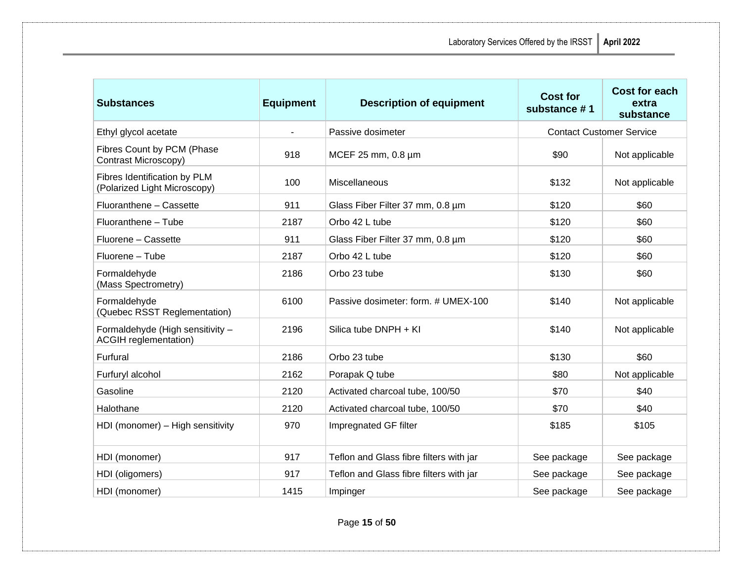| <b>Substances</b>                                                | <b>Equipment</b>         | <b>Description of equipment</b>         | <b>Cost for</b><br>substance #1 | <b>Cost for each</b><br>extra<br>substance |
|------------------------------------------------------------------|--------------------------|-----------------------------------------|---------------------------------|--------------------------------------------|
| Ethyl glycol acetate                                             | $\overline{\phantom{a}}$ | Passive dosimeter                       | <b>Contact Customer Service</b> |                                            |
| Fibres Count by PCM (Phase<br>Contrast Microscopy)               | 918                      | MCEF 25 mm, 0.8 µm                      | \$90                            | Not applicable                             |
| Fibres Identification by PLM<br>(Polarized Light Microscopy)     | 100                      | <b>Miscellaneous</b>                    | \$132                           | Not applicable                             |
| Fluoranthene - Cassette                                          | 911                      | Glass Fiber Filter 37 mm, 0.8 µm        | \$120                           | \$60                                       |
| Fluoranthene - Tube                                              | 2187                     | Orbo 42 L tube                          | \$120                           | \$60                                       |
| Fluorene - Cassette                                              | 911                      | Glass Fiber Filter 37 mm, 0.8 um        | \$120                           | \$60                                       |
| Fluorene - Tube                                                  | 2187                     | Orbo 42 L tube                          | \$120                           | \$60                                       |
| Formaldehyde<br>(Mass Spectrometry)                              | 2186                     | Orbo 23 tube                            | \$130                           | \$60                                       |
| Formaldehyde<br>(Quebec RSST Reglementation)                     | 6100                     | Passive dosimeter: form. # UMEX-100     | \$140                           | Not applicable                             |
| Formaldehyde (High sensitivity -<br><b>ACGIH</b> reglementation) | 2196                     | Silica tube DNPH + KI                   | \$140                           | Not applicable                             |
| Furfural                                                         | 2186                     | Orbo 23 tube                            | \$130                           | \$60                                       |
| Furfuryl alcohol                                                 | 2162                     | Porapak Q tube                          | \$80                            | Not applicable                             |
| Gasoline                                                         | 2120                     | Activated charcoal tube, 100/50         | \$70                            | \$40                                       |
| Halothane                                                        | 2120                     | Activated charcoal tube, 100/50         | \$70                            | \$40                                       |
| HDI (monomer) - High sensitivity                                 | 970                      | Impregnated GF filter                   | \$185                           | \$105                                      |
| HDI (monomer)                                                    | 917                      | Teflon and Glass fibre filters with jar | See package                     | See package                                |
| HDI (oligomers)                                                  | 917                      | Teflon and Glass fibre filters with jar | See package                     | See package                                |
| HDI (monomer)                                                    | 1415                     | Impinger                                | See package                     | See package                                |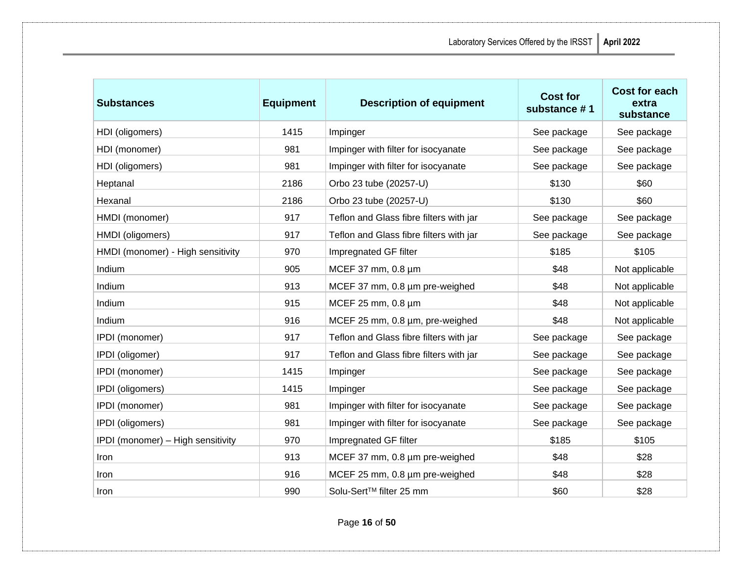| :SST<br>April 2022 |  |
|--------------------|--|
|--------------------|--|

| <b>Substances</b>                 | <b>Equipment</b> | <b>Description of equipment</b>         | <b>Cost for</b><br>substance #1 | <b>Cost for each</b><br>extra<br>substance |
|-----------------------------------|------------------|-----------------------------------------|---------------------------------|--------------------------------------------|
| HDI (oligomers)                   | 1415             | Impinger                                | See package                     | See package                                |
| HDI (monomer)                     | 981              | Impinger with filter for isocyanate     | See package                     | See package                                |
| HDI (oligomers)                   | 981              | Impinger with filter for isocyanate     | See package                     | See package                                |
| Heptanal                          | 2186             | Orbo 23 tube (20257-U)                  | \$130                           | \$60                                       |
| Hexanal                           | 2186             | Orbo 23 tube (20257-U)                  | \$130                           | \$60                                       |
| HMDI (monomer)                    | 917              | Teflon and Glass fibre filters with jar | See package                     | See package                                |
| HMDI (oligomers)                  | 917              | Teflon and Glass fibre filters with jar | See package                     | See package                                |
| HMDI (monomer) - High sensitivity | 970              | Impregnated GF filter                   | \$185                           | \$105                                      |
| Indium                            | 905              | MCEF 37 mm, 0.8 µm                      | \$48                            | Not applicable                             |
| Indium                            | 913              | MCEF 37 mm, 0.8 µm pre-weighed          | \$48                            | Not applicable                             |
| Indium                            | 915              | MCEF 25 mm, 0.8 µm                      | \$48                            | Not applicable                             |
| Indium                            | 916              | MCEF 25 mm, 0.8 µm, pre-weighed         | \$48                            | Not applicable                             |
| IPDI (monomer)                    | 917              | Teflon and Glass fibre filters with jar | See package                     | See package                                |
| IPDI (oligomer)                   | 917              | Teflon and Glass fibre filters with jar | See package                     | See package                                |
| IPDI (monomer)                    | 1415             | Impinger                                | See package                     | See package                                |
| IPDI (oligomers)                  | 1415             | Impinger                                | See package                     | See package                                |
| IPDI (monomer)                    | 981              | Impinger with filter for isocyanate     | See package                     | See package                                |
| IPDI (oligomers)                  | 981              | Impinger with filter for isocyanate     | See package                     | See package                                |
| IPDI (monomer) - High sensitivity | 970              | Impregnated GF filter                   | \$185                           | \$105                                      |
| Iron                              | 913              | MCEF 37 mm, 0.8 µm pre-weighed          | \$48                            | \$28                                       |
| Iron                              | 916              | MCEF 25 mm, 0.8 µm pre-weighed          | \$48                            | \$28                                       |
| Iron                              | 990              | Solu-Sert™ filter 25 mm                 | \$60                            | \$28                                       |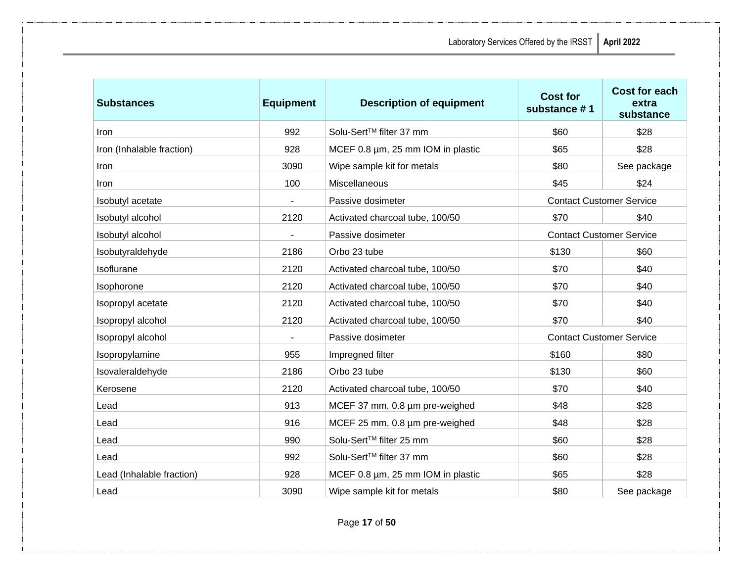| <b>Substances</b>         | <b>Equipment</b> | <b>Description of equipment</b>   | <b>Cost for</b><br>substance #1 | <b>Cost for each</b><br>extra<br>substance |
|---------------------------|------------------|-----------------------------------|---------------------------------|--------------------------------------------|
| Iron                      | 992              | Solu-Sert™ filter 37 mm           | \$60                            | \$28                                       |
| Iron (Inhalable fraction) | 928              | MCEF 0.8 µm, 25 mm IOM in plastic | \$65                            | \$28                                       |
| Iron                      | 3090             | Wipe sample kit for metals        | \$80                            | See package                                |
| Iron                      | 100              | Miscellaneous                     | \$45                            | \$24                                       |
| Isobutyl acetate          | $\blacksquare$   | Passive dosimeter                 | <b>Contact Customer Service</b> |                                            |
| Isobutyl alcohol          | 2120             | Activated charcoal tube, 100/50   | \$70                            | \$40                                       |
| Isobutyl alcohol          |                  | Passive dosimeter                 | <b>Contact Customer Service</b> |                                            |
| Isobutyraldehyde          | 2186             | Orbo 23 tube                      | \$130                           | \$60                                       |
| Isoflurane                | 2120             | Activated charcoal tube, 100/50   | \$70                            | \$40                                       |
| Isophorone                | 2120             | Activated charcoal tube, 100/50   | \$70                            | \$40                                       |
| Isopropyl acetate         | 2120             | Activated charcoal tube, 100/50   | \$70                            | \$40                                       |
| Isopropyl alcohol         | 2120             | Activated charcoal tube, 100/50   | \$70                            | \$40                                       |
| Isopropyl alcohol         |                  | Passive dosimeter                 | <b>Contact Customer Service</b> |                                            |
| Isopropylamine            | 955              | Impregned filter                  | \$160                           | \$80                                       |
| Isovaleraldehyde          | 2186             | Orbo 23 tube                      | \$130                           | \$60                                       |
| Kerosene                  | 2120             | Activated charcoal tube, 100/50   | \$70                            | \$40                                       |
| Lead                      | 913              | MCEF 37 mm, 0.8 µm pre-weighed    | \$48                            | \$28                                       |
| Lead                      | 916              | MCEF 25 mm, 0.8 µm pre-weighed    | \$48                            | \$28                                       |
| Lead                      | 990              | Solu-Sert™ filter 25 mm           | \$60                            | \$28                                       |
| Lead                      | 992              | Solu-Sert™ filter 37 mm           | \$60                            | \$28                                       |
| Lead (Inhalable fraction) | 928              | MCEF 0.8 µm, 25 mm IOM in plastic | \$65                            | \$28                                       |
| Lead                      | 3090             | Wipe sample kit for metals        | \$80                            | See package                                |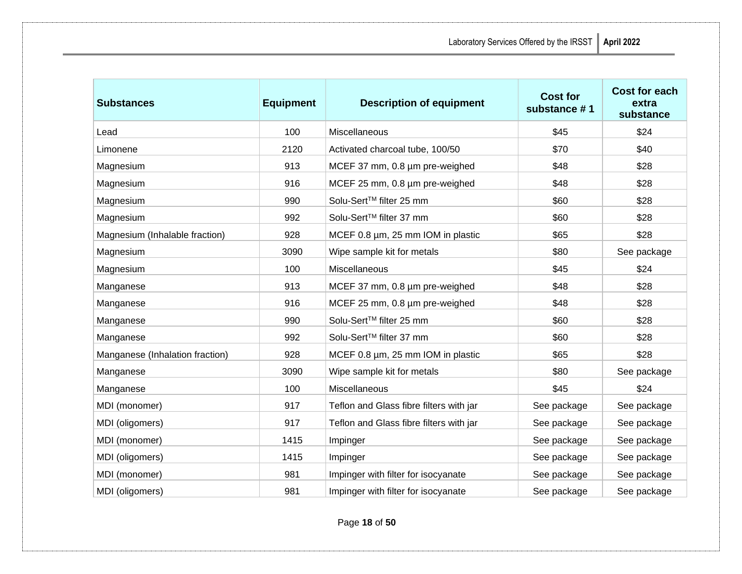| <b>Substances</b>               | <b>Equipment</b> | <b>Description of equipment</b>         | <b>Cost for</b><br>substance #1 | Cost for each<br>extra<br>substance |
|---------------------------------|------------------|-----------------------------------------|---------------------------------|-------------------------------------|
| Lead                            | 100              | Miscellaneous                           | \$45                            | \$24                                |
| Limonene                        | 2120             | Activated charcoal tube, 100/50         | \$70                            | \$40                                |
| Magnesium                       | 913              | MCEF 37 mm, 0.8 µm pre-weighed          | \$48                            | \$28                                |
| Magnesium                       | 916              | MCEF 25 mm, 0.8 µm pre-weighed          | \$48                            | \$28                                |
| Magnesium                       | 990              | Solu-Sert™ filter 25 mm                 | \$60                            | \$28                                |
| Magnesium                       | 992              | Solu-Sert™ filter 37 mm                 | \$60                            | \$28                                |
| Magnesium (Inhalable fraction)  | 928              | MCEF 0.8 µm, 25 mm IOM in plastic       | \$65                            | \$28                                |
| Magnesium                       | 3090             | Wipe sample kit for metals              | \$80                            | See package                         |
| Magnesium                       | 100              | Miscellaneous                           | \$45                            | \$24                                |
| Manganese                       | 913              | MCEF 37 mm, 0.8 µm pre-weighed          | \$48                            | \$28                                |
| Manganese                       | 916              | MCEF 25 mm, 0.8 µm pre-weighed          | \$48                            | \$28                                |
| Manganese                       | 990              | Solu-Sert™ filter 25 mm                 | \$60                            | \$28                                |
| Manganese                       | 992              | Solu-Sert™ filter 37 mm                 | \$60                            | \$28                                |
| Manganese (Inhalation fraction) | 928              | MCEF 0.8 µm, 25 mm IOM in plastic       | \$65                            | \$28                                |
| Manganese                       | 3090             | Wipe sample kit for metals              | \$80                            | See package                         |
| Manganese                       | 100              | Miscellaneous                           | \$45                            | \$24                                |
| MDI (monomer)                   | 917              | Teflon and Glass fibre filters with jar | See package                     | See package                         |
| MDI (oligomers)                 | 917              | Teflon and Glass fibre filters with jar | See package                     | See package                         |
| MDI (monomer)                   | 1415             | Impinger                                | See package                     | See package                         |
| MDI (oligomers)                 | 1415             | Impinger                                | See package                     | See package                         |
| MDI (monomer)                   | 981              | Impinger with filter for isocyanate     | See package                     | See package                         |
| MDI (oligomers)                 | 981              | Impinger with filter for isocyanate     | See package                     | See package                         |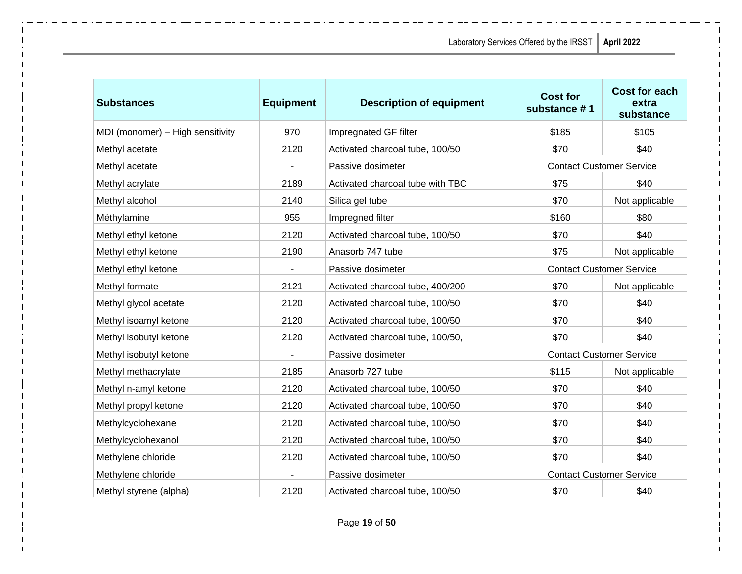| <b>Substances</b>                | <b>Equipment</b> | <b>Description of equipment</b>  | <b>Cost for</b><br>substance #1 | Cost for each<br>extra<br>substance |
|----------------------------------|------------------|----------------------------------|---------------------------------|-------------------------------------|
| MDI (monomer) - High sensitivity | 970              | Impregnated GF filter            | \$185                           | \$105                               |
| Methyl acetate                   | 2120             | Activated charcoal tube, 100/50  | \$70                            | \$40                                |
| Methyl acetate                   |                  | Passive dosimeter                | <b>Contact Customer Service</b> |                                     |
| Methyl acrylate                  | 2189             | Activated charcoal tube with TBC | \$75                            | \$40                                |
| Methyl alcohol                   | 2140             | Silica gel tube                  | \$70                            | Not applicable                      |
| Méthylamine                      | 955              | Impregned filter                 | \$160                           | \$80                                |
| Methyl ethyl ketone              | 2120             | Activated charcoal tube, 100/50  | \$70                            | \$40                                |
| Methyl ethyl ketone              | 2190             | Anasorb 747 tube                 | \$75                            | Not applicable                      |
| Methyl ethyl ketone              |                  | Passive dosimeter                | <b>Contact Customer Service</b> |                                     |
| Methyl formate                   | 2121             | Activated charcoal tube, 400/200 | \$70                            | Not applicable                      |
| Methyl glycol acetate            | 2120             | Activated charcoal tube, 100/50  | \$70                            | \$40                                |
| Methyl isoamyl ketone            | 2120             | Activated charcoal tube, 100/50  | \$70                            | \$40                                |
| Methyl isobutyl ketone           | 2120             | Activated charcoal tube, 100/50, | \$70                            | \$40                                |
| Methyl isobutyl ketone           |                  | Passive dosimeter                | <b>Contact Customer Service</b> |                                     |
| Methyl methacrylate              | 2185             | Anasorb 727 tube                 | \$115                           | Not applicable                      |
| Methyl n-amyl ketone             | 2120             | Activated charcoal tube, 100/50  | \$70                            | \$40                                |
| Methyl propyl ketone             | 2120             | Activated charcoal tube, 100/50  | \$70                            | \$40                                |
| Methylcyclohexane                | 2120             | Activated charcoal tube, 100/50  | \$70                            | \$40                                |
| Methylcyclohexanol               | 2120             | Activated charcoal tube, 100/50  | \$70                            | \$40                                |
| Methylene chloride               | 2120             | Activated charcoal tube, 100/50  | \$70                            | \$40                                |
| Methylene chloride               | $\blacksquare$   | Passive dosimeter                | <b>Contact Customer Service</b> |                                     |
| Methyl styrene (alpha)           | 2120             | Activated charcoal tube, 100/50  | \$70                            | \$40                                |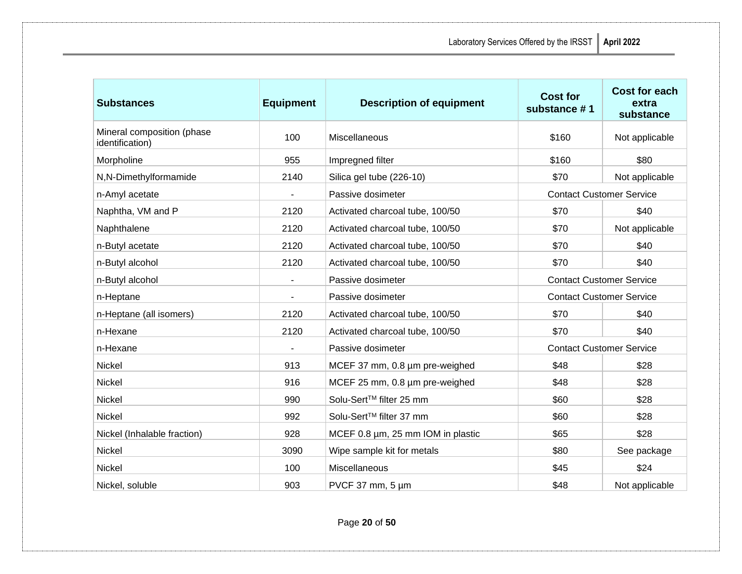| <b>Substances</b>                             | <b>Equipment</b>         | <b>Description of equipment</b>   | <b>Cost for</b><br>substance #1 | Cost for each<br>extra<br>substance |
|-----------------------------------------------|--------------------------|-----------------------------------|---------------------------------|-------------------------------------|
| Mineral composition (phase<br>identification) | 100                      | Miscellaneous                     | \$160                           | Not applicable                      |
| Morpholine                                    | 955                      | Impregned filter                  | \$160                           | \$80                                |
| N,N-Dimethylformamide                         | 2140                     | Silica gel tube (226-10)          | \$70                            | Not applicable                      |
| n-Amyl acetate                                |                          | Passive dosimeter                 | <b>Contact Customer Service</b> |                                     |
| Naphtha, VM and P                             | 2120                     | Activated charcoal tube, 100/50   | \$70                            | \$40                                |
| Naphthalene                                   | 2120                     | Activated charcoal tube, 100/50   | \$70                            | Not applicable                      |
| n-Butyl acetate                               | 2120                     | Activated charcoal tube, 100/50   | \$70                            | \$40                                |
| n-Butyl alcohol                               | 2120                     | Activated charcoal tube, 100/50   | \$70                            | \$40                                |
| n-Butyl alcohol                               | $\overline{\phantom{a}}$ | Passive dosimeter                 | <b>Contact Customer Service</b> |                                     |
| n-Heptane                                     | $\frac{1}{2}$            | Passive dosimeter                 | <b>Contact Customer Service</b> |                                     |
| n-Heptane (all isomers)                       | 2120                     | Activated charcoal tube, 100/50   | \$70                            | \$40                                |
| n-Hexane                                      | 2120                     | Activated charcoal tube, 100/50   | \$70                            | \$40                                |
| n-Hexane                                      |                          | Passive dosimeter                 | <b>Contact Customer Service</b> |                                     |
| Nickel                                        | 913                      | MCEF 37 mm, 0.8 µm pre-weighed    | \$48                            | \$28                                |
| Nickel                                        | 916                      | MCEF 25 mm, 0.8 µm pre-weighed    | \$48                            | \$28                                |
| Nickel                                        | 990                      | Solu-Sert™ filter 25 mm           | \$60                            | \$28                                |
| Nickel                                        | 992                      | Solu-Sert™ filter 37 mm           | \$60                            | \$28                                |
| Nickel (Inhalable fraction)                   | 928                      | MCEF 0.8 µm, 25 mm IOM in plastic | \$65                            | \$28                                |
| Nickel                                        | 3090                     | Wipe sample kit for metals        | \$80                            | See package                         |
| Nickel                                        | 100                      | Miscellaneous                     | \$45                            | \$24                                |
| Nickel, soluble                               | 903                      | PVCF 37 mm, $5 \mu m$             | \$48                            | Not applicable                      |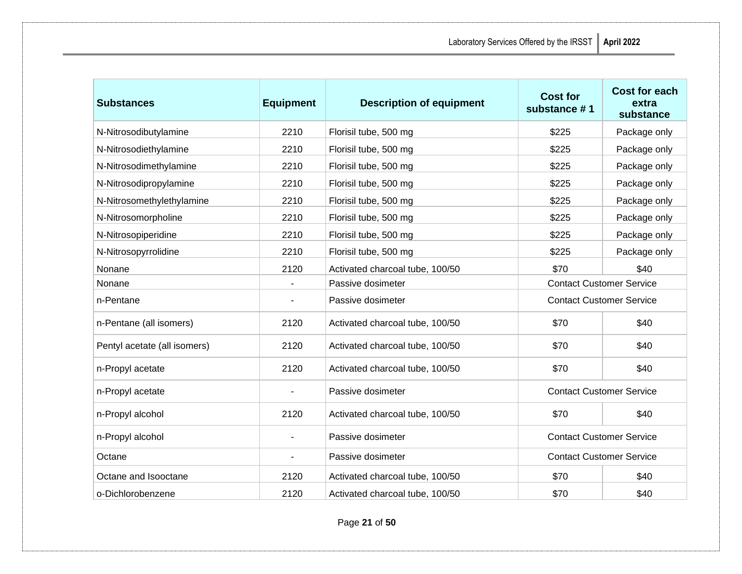| <b>Substances</b>            | <b>Equipment</b> | <b>Description of equipment</b> | <b>Cost for</b><br>substance #1 | <b>Cost for each</b><br>extra<br>substance |
|------------------------------|------------------|---------------------------------|---------------------------------|--------------------------------------------|
| N-Nitrosodibutylamine        | 2210             | Florisil tube, 500 mg           | \$225                           | Package only                               |
| N-Nitrosodiethylamine        | 2210             | Florisil tube, 500 mg           | \$225                           | Package only                               |
| N-Nitrosodimethylamine       | 2210             | Florisil tube, 500 mg           | \$225                           | Package only                               |
| N-Nitrosodipropylamine       | 2210             | Florisil tube, 500 mg           | \$225                           | Package only                               |
| N-Nitrosomethylethylamine    | 2210             | Florisil tube, 500 mg           | \$225                           | Package only                               |
| N-Nitrosomorpholine          | 2210             | Florisil tube, 500 mg           | \$225                           | Package only                               |
| N-Nitrosopiperidine          | 2210             | Florisil tube, 500 mg           | \$225                           | Package only                               |
| N-Nitrosopyrrolidine         | 2210             | Florisil tube, 500 mg           | \$225                           | Package only                               |
| Nonane                       | 2120             | Activated charcoal tube, 100/50 | \$70                            | \$40                                       |
| Nonane                       |                  | Passive dosimeter               | <b>Contact Customer Service</b> |                                            |
| n-Pentane                    |                  | Passive dosimeter               | <b>Contact Customer Service</b> |                                            |
| n-Pentane (all isomers)      | 2120             | Activated charcoal tube, 100/50 | \$70                            | \$40                                       |
| Pentyl acetate (all isomers) | 2120             | Activated charcoal tube, 100/50 | \$70                            | \$40                                       |
| n-Propyl acetate             | 2120             | Activated charcoal tube, 100/50 | \$70                            | \$40                                       |
| n-Propyl acetate             |                  | Passive dosimeter               | <b>Contact Customer Service</b> |                                            |
| n-Propyl alcohol             | 2120             | Activated charcoal tube, 100/50 | \$70                            | \$40                                       |
| n-Propyl alcohol             |                  | Passive dosimeter               | <b>Contact Customer Service</b> |                                            |
| Octane                       | $\blacksquare$   | Passive dosimeter               | <b>Contact Customer Service</b> |                                            |
| Octane and Isooctane         | 2120             | Activated charcoal tube, 100/50 | \$70                            | \$40                                       |
| o-Dichlorobenzene            | 2120             | Activated charcoal tube, 100/50 | \$70                            | \$40                                       |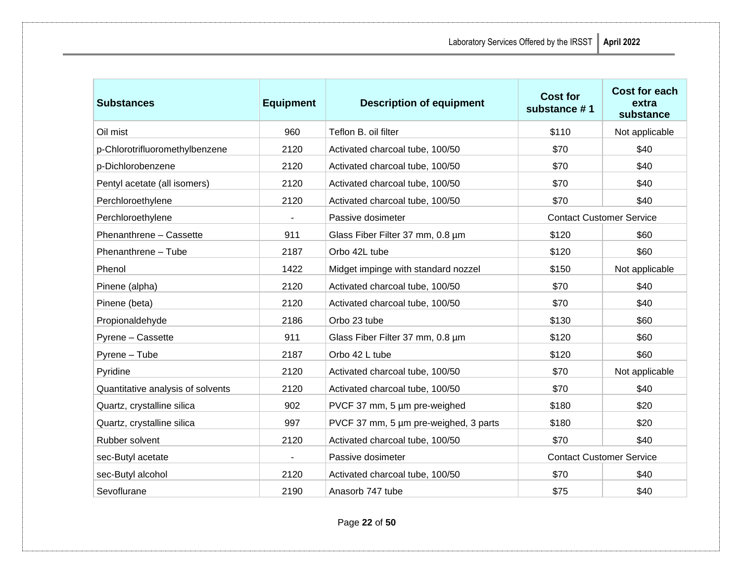| <b>Substances</b>                 | <b>Equipment</b> | <b>Description of equipment</b>       | <b>Cost for</b><br>substance #1 | <b>Cost for each</b><br>extra<br>substance |
|-----------------------------------|------------------|---------------------------------------|---------------------------------|--------------------------------------------|
| Oil mist                          | 960              | Teflon B. oil filter                  | \$110                           | Not applicable                             |
| p-Chlorotrifluoromethylbenzene    | 2120             | Activated charcoal tube, 100/50       | \$70                            | \$40                                       |
| p-Dichlorobenzene                 | 2120             | Activated charcoal tube, 100/50       | \$70                            | \$40                                       |
| Pentyl acetate (all isomers)      | 2120             | Activated charcoal tube, 100/50       | \$70                            | \$40                                       |
| Perchloroethylene                 | 2120             | Activated charcoal tube, 100/50       | \$70                            | \$40                                       |
| Perchloroethylene                 |                  | Passive dosimeter                     | <b>Contact Customer Service</b> |                                            |
| Phenanthrene - Cassette           | 911              | Glass Fiber Filter 37 mm, 0.8 um      | \$120                           | \$60                                       |
| Phenanthrene - Tube               | 2187             | Orbo 42L tube                         | \$120                           | \$60                                       |
| Phenol                            | 1422             | Midget impinge with standard nozzel   | \$150                           | Not applicable                             |
| Pinene (alpha)                    | 2120             | Activated charcoal tube, 100/50       | \$70                            | \$40                                       |
| Pinene (beta)                     | 2120             | Activated charcoal tube, 100/50       | \$70                            | \$40                                       |
| Propionaldehyde                   | 2186             | Orbo 23 tube                          | \$130                           | \$60                                       |
| Pyrene - Cassette                 | 911              | Glass Fiber Filter 37 mm, 0.8 um      | \$120                           | \$60                                       |
| Pyrene - Tube                     | 2187             | Orbo 42 L tube                        | \$120                           | \$60                                       |
| Pyridine                          | 2120             | Activated charcoal tube, 100/50       | \$70                            | Not applicable                             |
| Quantitative analysis of solvents | 2120             | Activated charcoal tube, 100/50       | \$70                            | \$40                                       |
| Quartz, crystalline silica        | 902              | PVCF 37 mm, 5 um pre-weighed          | \$180                           | \$20                                       |
| Quartz, crystalline silica        | 997              | PVCF 37 mm, 5 µm pre-weighed, 3 parts | \$180                           | \$20                                       |
| Rubber solvent                    | 2120             | Activated charcoal tube, 100/50       | \$70                            | \$40                                       |
| sec-Butyl acetate                 | $\blacksquare$   | Passive dosimeter                     | <b>Contact Customer Service</b> |                                            |
| sec-Butyl alcohol                 | 2120             | Activated charcoal tube, 100/50       | \$70                            | \$40                                       |
| Sevoflurane                       | 2190             | Anasorb 747 tube                      | \$75                            | \$40                                       |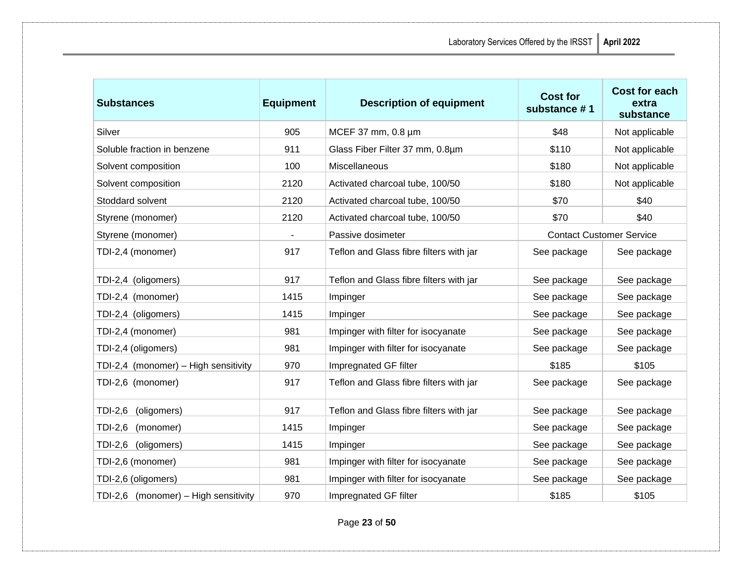| <b>Substances</b>                    | <b>Equipment</b> | <b>Description of equipment</b>         | <b>Cost for</b><br>substance #1 | <b>Cost for each</b><br>extra<br>substance |
|--------------------------------------|------------------|-----------------------------------------|---------------------------------|--------------------------------------------|
| Silver                               | 905              | MCEF 37 mm, 0.8 µm                      | \$48                            | Not applicable                             |
| Soluble fraction in benzene          | 911              | Glass Fiber Filter 37 mm, 0.8um         | \$110                           | Not applicable                             |
| Solvent composition                  | 100              | Miscellaneous                           | \$180                           | Not applicable                             |
| Solvent composition                  | 2120             | Activated charcoal tube, 100/50         | \$180                           | Not applicable                             |
| Stoddard solvent                     | 2120             | Activated charcoal tube, 100/50         | \$70                            | \$40                                       |
| Styrene (monomer)                    | 2120             | Activated charcoal tube, 100/50         | \$70                            | \$40                                       |
| Styrene (monomer)                    | $\blacksquare$   | Passive dosimeter                       | <b>Contact Customer Service</b> |                                            |
| TDI-2,4 (monomer)                    | 917              | Teflon and Glass fibre filters with jar | See package                     | See package                                |
| TDI-2,4 (oligomers)                  | 917              | Teflon and Glass fibre filters with jar | See package                     | See package                                |
| TDI-2,4 (monomer)                    | 1415             | Impinger                                | See package                     | See package                                |
| TDI-2,4 (oligomers)                  | 1415             | Impinger                                | See package                     | See package                                |
| TDI-2,4 (monomer)                    | 981              | Impinger with filter for isocyanate     | See package                     | See package                                |
| TDI-2,4 (oligomers)                  | 981              | Impinger with filter for isocyanate     | See package                     | See package                                |
| TDI-2,4 (monomer) - High sensitivity | 970              | Impregnated GF filter                   | \$185                           | \$105                                      |
| TDI-2,6 (monomer)                    | 917              | Teflon and Glass fibre filters with jar | See package                     | See package                                |
| TDI-2,6<br>(oligomers)               | 917              | Teflon and Glass fibre filters with jar | See package                     | See package                                |
| TDI-2,6<br>(monomer)                 | 1415             | Impinger                                | See package                     | See package                                |
| TDI-2,6<br>(oligomers)               | 1415             | Impinger                                | See package                     | See package                                |
| TDI-2,6 (monomer)                    | 981              | Impinger with filter for isocyanate     | See package                     | See package                                |
| TDI-2,6 (oligomers)                  | 981              | Impinger with filter for isocyanate     | See package                     | See package                                |
| TDI-2,6 (monomer) - High sensitivity | 970              | Impregnated GF filter                   | \$185                           | \$105                                      |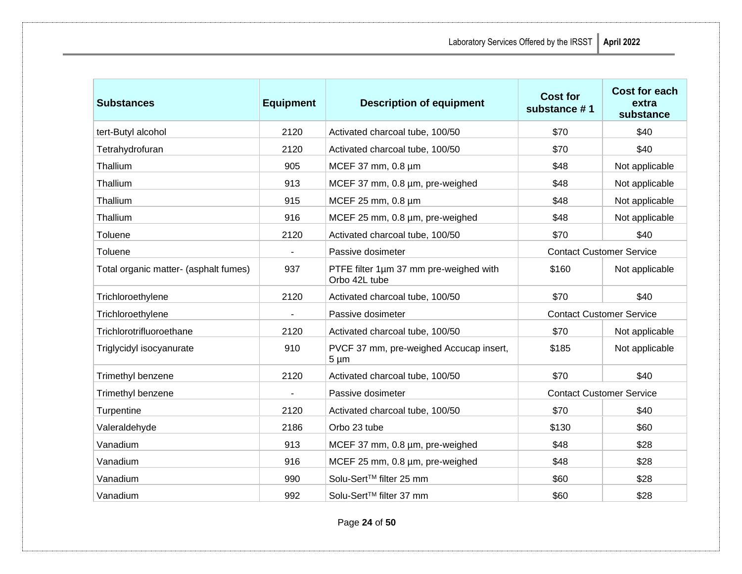| <b>Substances</b>                     | <b>Equipment</b>         | <b>Description of equipment</b>                         | <b>Cost for</b><br>substance #1 | <b>Cost for each</b><br>extra<br>substance |
|---------------------------------------|--------------------------|---------------------------------------------------------|---------------------------------|--------------------------------------------|
| tert-Butyl alcohol                    | 2120                     | Activated charcoal tube, 100/50                         | \$70                            | \$40                                       |
| Tetrahydrofuran                       | 2120                     | Activated charcoal tube, 100/50                         | \$70                            | \$40                                       |
| Thallium                              | 905                      | MCEF 37 mm, 0.8 µm                                      | \$48                            | Not applicable                             |
| Thallium                              | 913                      | MCEF 37 mm, 0.8 um, pre-weighed                         | \$48                            | Not applicable                             |
| Thallium                              | 915                      | MCEF 25 mm, 0.8 µm                                      | \$48                            | Not applicable                             |
| Thallium                              | 916                      | MCEF 25 mm, 0.8 um, pre-weighed                         | \$48                            | Not applicable                             |
| Toluene                               | 2120                     | Activated charcoal tube, 100/50                         | \$70                            | \$40                                       |
| Toluene                               | $\overline{\phantom{a}}$ | Passive dosimeter                                       | <b>Contact Customer Service</b> |                                            |
| Total organic matter- (asphalt fumes) | 937                      | PTFE filter 1um 37 mm pre-weighed with<br>Orbo 42L tube | \$160                           | Not applicable                             |
| Trichloroethylene                     | 2120                     | Activated charcoal tube, 100/50                         | \$70                            | \$40                                       |
| Trichloroethylene                     | $\overline{\phantom{a}}$ | Passive dosimeter                                       | <b>Contact Customer Service</b> |                                            |
| Trichlorotrifluoroethane              | 2120                     | Activated charcoal tube, 100/50                         | \$70                            | Not applicable                             |
| Triglycidyl isocyanurate              | 910                      | PVCF 37 mm, pre-weighed Accucap insert,<br>$5 \mu m$    | \$185                           | Not applicable                             |
| Trimethyl benzene                     | 2120                     | Activated charcoal tube, 100/50                         | \$70                            | \$40                                       |
| Trimethyl benzene                     | $\overline{\phantom{a}}$ | Passive dosimeter                                       |                                 | <b>Contact Customer Service</b>            |
| Turpentine                            | 2120                     | Activated charcoal tube, 100/50                         | \$70                            | \$40                                       |
| Valeraldehyde                         | 2186                     | Orbo 23 tube                                            | \$130                           | \$60                                       |
| Vanadium                              | 913                      | MCEF 37 mm, 0.8 µm, pre-weighed                         | \$48                            | \$28                                       |
| Vanadium                              | 916                      | MCEF 25 mm, 0.8 um, pre-weighed                         | \$48                            | \$28                                       |
| Vanadium                              | 990                      | Solu-Sert™ filter 25 mm                                 | \$60                            | \$28                                       |
| Vanadium                              | 992                      | Solu-Sert <sup>™</sup> filter 37 mm                     | \$60                            | \$28                                       |

Page **24** of **50**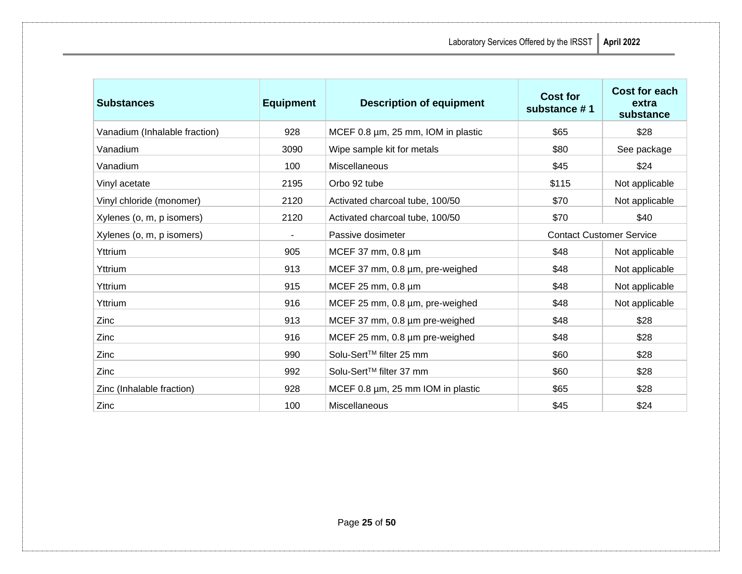| <b>Substances</b>             | <b>Equipment</b> | <b>Description of equipment</b>        | <b>Cost for</b><br>substance #1 | <b>Cost for each</b><br>extra<br>substance |
|-------------------------------|------------------|----------------------------------------|---------------------------------|--------------------------------------------|
| Vanadium (Inhalable fraction) | 928              | MCEF 0.8 µm, 25 mm, IOM in plastic     | \$65                            | \$28                                       |
| Vanadium                      | 3090             | Wipe sample kit for metals             | \$80                            | See package                                |
| Vanadium                      | 100              | Miscellaneous                          | \$45                            | \$24                                       |
| Vinyl acetate                 | 2195             | Orbo 92 tube                           | \$115                           | Not applicable                             |
| Vinyl chloride (monomer)      | 2120             | Activated charcoal tube, 100/50        | \$70                            | Not applicable                             |
| Xylenes (o, m, p isomers)     | 2120             | Activated charcoal tube, 100/50        | \$70                            | \$40                                       |
| Xylenes (o, m, p isomers)     |                  | Passive dosimeter                      | <b>Contact Customer Service</b> |                                            |
| Yttrium                       | 905              | MCEF 37 mm, 0.8 µm                     | \$48                            | Not applicable                             |
| Yttrium                       | 913              | MCEF 37 mm, 0.8 um, pre-weighed        | \$48                            | Not applicable                             |
| Yttrium                       | 915              | MCEF 25 mm, 0.8 µm                     | \$48                            | Not applicable                             |
| Yttrium                       | 916              | MCEF 25 mm, 0.8 µm, pre-weighed        | \$48                            | Not applicable                             |
| Zinc                          | 913              | MCEF 37 mm, 0.8 µm pre-weighed         | \$48                            | \$28                                       |
| <b>Zinc</b>                   | 916              | MCEF 25 mm, 0.8 µm pre-weighed         | \$48                            | \$28                                       |
| Zinc                          | 990              | Solu-Sert™ filter 25 mm                | \$60                            | \$28                                       |
| Zinc                          | 992              | Solu-Sert <sup>™</sup> filter 37 mm    | \$60                            | \$28                                       |
| Zinc (Inhalable fraction)     | 928              | MCEF 0.8 $\mu$ m, 25 mm IOM in plastic | \$65                            | \$28                                       |
| Zinc                          | 100              | Miscellaneous                          | \$45                            | \$24                                       |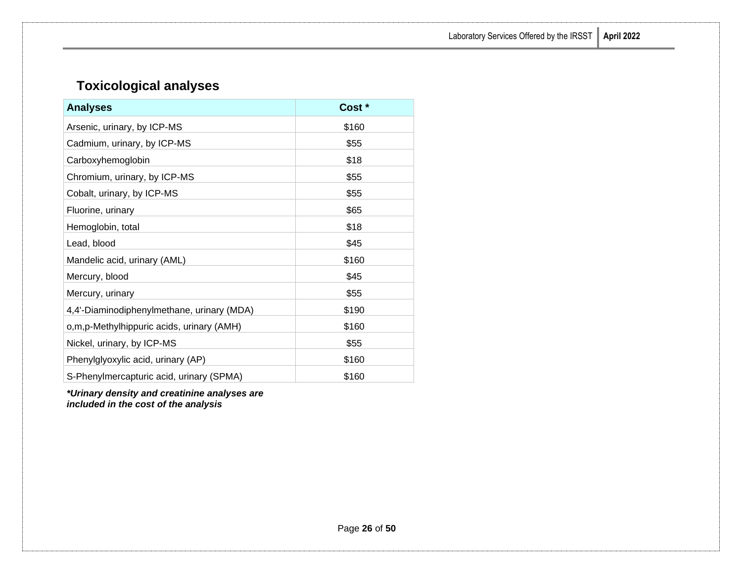# <span id="page-28-0"></span>**Toxicological analyses**

| <b>Analyses</b>                            | Cost * |
|--------------------------------------------|--------|
| Arsenic, urinary, by ICP-MS                | \$160  |
| Cadmium, urinary, by ICP-MS                | \$55   |
| Carboxyhemoglobin                          | \$18   |
| Chromium, urinary, by ICP-MS               | \$55   |
| Cobalt, urinary, by ICP-MS                 | \$55   |
| Fluorine, urinary                          | \$65   |
| Hemoglobin, total                          | \$18   |
| Lead, blood                                | \$45   |
| Mandelic acid, urinary (AML)               | \$160  |
| Mercury, blood                             | \$45   |
| Mercury, urinary                           | \$55   |
| 4,4'-Diaminodiphenylmethane, urinary (MDA) | \$190  |
| o,m,p-Methylhippuric acids, urinary (AMH)  | \$160  |
| Nickel, urinary, by ICP-MS                 | \$55   |
| Phenylglyoxylic acid, urinary (AP)         | \$160  |
| S-Phenylmercapturic acid, urinary (SPMA)   | \$160  |

*\*Urinary density and creatinine analyses are included in the cost of the analysis*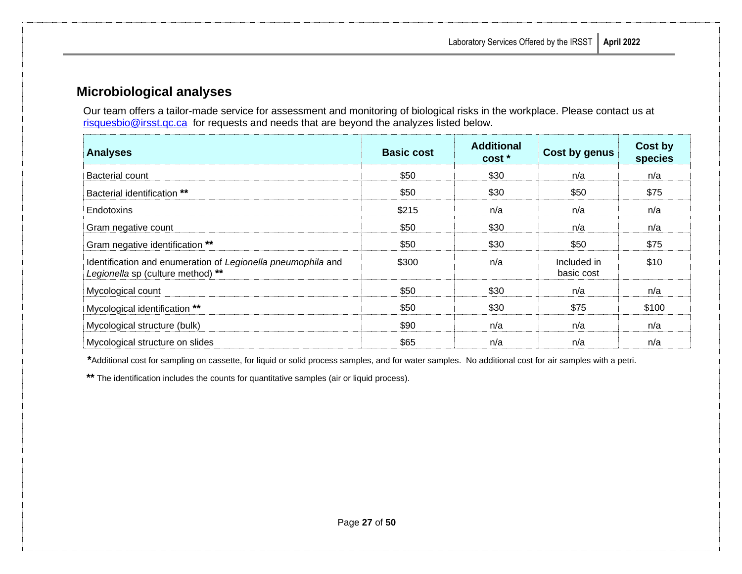### <span id="page-29-0"></span>**Microbiological analyses**

Our team offers a tailor-made service for assessment and monitoring of biological risks in the workplace. Please contact us at [risquesbio@irsst.qc.ca](mailto:risquesbio@irsst.qc.ca) for requests and needs that are beyond the analyzes listed below.

| <b>Analyses</b>                                                                                   | <b>Basic cost</b> | <b>Additional</b><br>cost * | Cost by genus             | Cost by<br>species |
|---------------------------------------------------------------------------------------------------|-------------------|-----------------------------|---------------------------|--------------------|
| Bacterial count                                                                                   | \$50              | \$30                        | n/a                       | n/a                |
| Bacterial identification **                                                                       | \$50              | \$30                        | \$50                      | \$75               |
| <b>Endotoxins</b>                                                                                 | \$215             | n/a                         | n/a                       | n/a                |
| Gram negative count                                                                               | \$50              | \$30                        | n/a                       | n/a                |
| Gram negative identification **                                                                   | \$50              | \$30                        | \$50                      | \$75               |
| Identification and enumeration of Legionella pneumophila and<br>Legionella sp (culture method) ** | \$300             | n/a                         | Included in<br>basic cost | \$10               |
| Mycological count                                                                                 | \$50              | \$30                        | n/a                       | n/a                |
| Mycological identification **                                                                     | \$50              | \$30                        | \$75                      | \$100              |
| Mycological structure (bulk)                                                                      | \$90              | n/a                         | n/a                       | n/a                |
| Mycological structure on slides                                                                   | \$65              | n/a                         | n/a                       | n/a                |

**\***Additional cost for sampling on cassette, for liquid or solid process samples, and for water samples. No additional cost for air samples with a petri.

**\*\*** The identification includes the counts for quantitative samples (air or liquid process).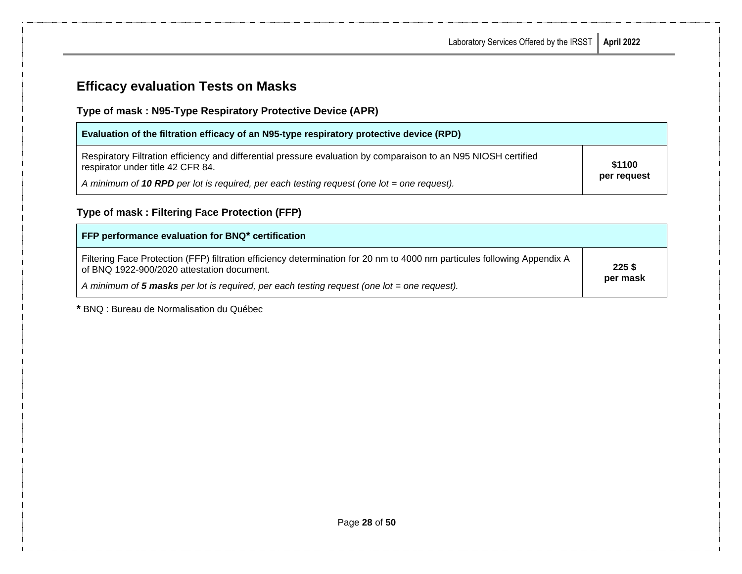# <span id="page-30-0"></span>**Efficacy evaluation Tests on Masks**

### **Type of mask : N95-Type Respiratory Protective Device (APR)**

| Evaluation of the filtration efficacy of an N95-type respiratory protective device (RPD)                                                             |             |
|------------------------------------------------------------------------------------------------------------------------------------------------------|-------------|
| Respiratory Filtration efficiency and differential pressure evaluation by comparaison to an N95 NIOSH certified<br>respirator under title 42 CFR 84. | \$1100      |
| A minimum of 10 RPD per lot is required, per each testing request (one lot = one request).                                                           | per request |

# **Type of mask : Filtering Face Protection (FFP)**

| FFP performance evaluation for BNQ* certification                                                                                                                      |                      |
|------------------------------------------------------------------------------------------------------------------------------------------------------------------------|----------------------|
| Filtering Face Protection (FFP) filtration efficiency determination for 20 nm to 4000 nm particules following Appendix A<br>of BNQ 1922-900/2020 attestation document. | $225$ \$<br>per mask |
| A minimum of 5 masks per lot is required, per each testing request (one lot = one request).                                                                            |                      |

**\*** BNQ : Bureau de Normalisation du Québec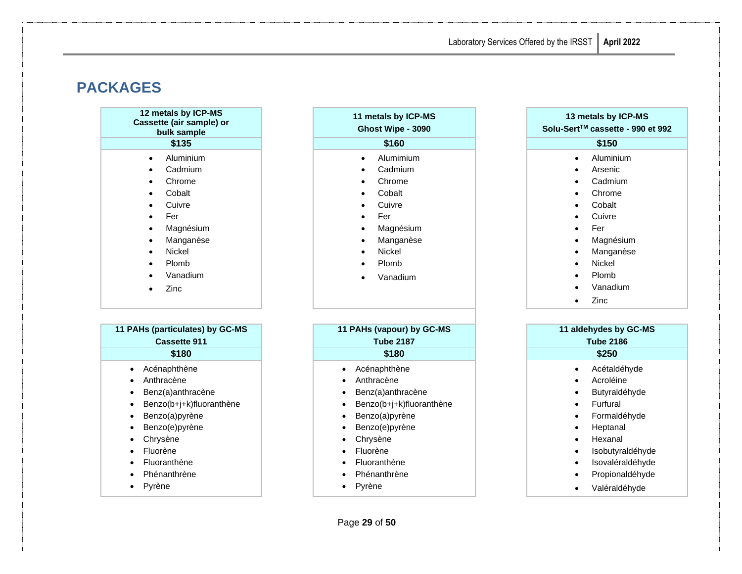# <span id="page-31-0"></span>**PACKAGES**

|           | 12 metals by ICP-MS<br>Cassette (air sample) or<br>bulk sample |
|-----------|----------------------------------------------------------------|
|           | \$135                                                          |
| $\bullet$ | Aluminium                                                      |
|           | Cadmium                                                        |

• Chrome

- Cobalt
- **Cuivre**
- Fer
- Magnésium
- **Manganèse**
- Nickel
- Plomb
- Vanadium
- Zinc

### **11 PAHs (particulates) by GC-MS Cassette 911** • Acénaphthène • Anthracène • Benz(a)anthracène • Benzo(b+j+k)fluoranthène

- Benzo(a)pyrène
- Benzo(e)pyrène
- Chrysène
- Fluorène
- Fluoranthène
- Phénanthrène
- Pyrène

#### **11 metals by ICP-MS Ghost Wipe - 3090**

- Alumimium
- Cadmium
- Chrome
- Cobalt
- **Cuivre**
- Fer
- **Magnésium**
- **Manganèse**
- Nickel
	- Plomb
- Vanadium

#### **11 PAHs (vapour) by GC-MS Tube 2187 \$180 \$180 \$250**

- Acénaphthène
- Anthracène
- Benz(a)anthracène
- Benzo(b+j+k)fluoranthène
- Benzo(a)pyrène
- Benzo(e)pyrène
- Chrysène
- Fluorène
- Fluoranthène
- Phénanthrène
- Pyrène

#### **Solu-SertTM cassette - 990 et 992 \$135 \$160 \$150** • Aluminium **Arsenic** • Cadmium • Chrome **Cobalt Cuivre** • Fer **Magnésium Manganèse** • Nickel • Plomb • Vanadium • Zinc **11 aldehydes by GC-MS**

**13 metals by ICP-MS**

- **Tube 2186** • Acétaldéhyde **Acroléine Butyraldéhyde Furfural** • Formaldéhyde **Heptanal** • Hexanal **Isobutyraldéhyde Isovaléraldéhyde** • Propionaldéhyde
	- Valéraldéhyde

Page **29** of **50**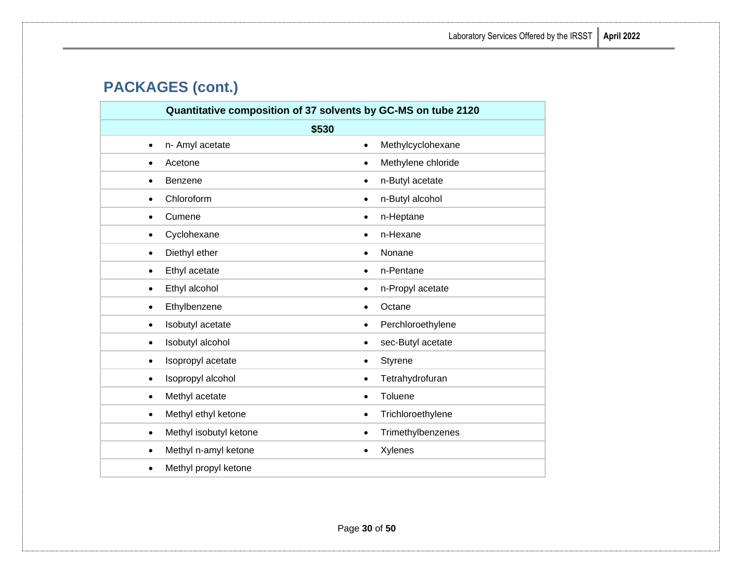# **PACKAGES (cont.)**

|                                   | Quantitative composition of 37 solvents by GC-MS on tube 2120 |
|-----------------------------------|---------------------------------------------------------------|
|                                   | \$530                                                         |
| n- Amyl acetate                   | Methylcyclohexane                                             |
| $\bullet$                         | $\bullet$                                                     |
| Acetone                           | Methylene chloride                                            |
| $\bullet$                         | $\bullet$                                                     |
| Benzene                           | n-Butyl acetate                                               |
| $\bullet$                         | $\bullet$                                                     |
| Chloroform                        | n-Butyl alcohol                                               |
| $\bullet$                         | $\bullet$                                                     |
| Cumene                            | n-Heptane                                                     |
| $\bullet$                         | $\bullet$                                                     |
| Cyclohexane                       | n-Hexane                                                      |
| $\bullet$                         | $\bullet$                                                     |
| Diethyl ether                     | Nonane                                                        |
| $\bullet$                         | $\bullet$                                                     |
| Ethyl acetate                     | n-Pentane                                                     |
| $\bullet$                         | $\bullet$                                                     |
| Ethyl alcohol                     | n-Propyl acetate                                              |
| $\bullet$                         | $\bullet$                                                     |
| Ethylbenzene                      | Octane                                                        |
| $\bullet$                         | $\bullet$                                                     |
| Isobutyl acetate                  | Perchloroethylene                                             |
| $\bullet$                         | $\bullet$                                                     |
| Isobutyl alcohol                  | sec-Butyl acetate                                             |
| $\bullet$                         | $\bullet$                                                     |
| Isopropyl acetate                 | Styrene                                                       |
| $\bullet$                         | $\bullet$                                                     |
| Isopropyl alcohol                 | Tetrahydrofuran                                               |
| ٠                                 | $\bullet$                                                     |
| Methyl acetate                    | Toluene                                                       |
| $\bullet$                         | $\bullet$                                                     |
| Methyl ethyl ketone               | Trichloroethylene                                             |
| $\bullet$                         | $\bullet$                                                     |
| Methyl isobutyl ketone            | Trimethylbenzenes                                             |
| $\bullet$                         | $\bullet$                                                     |
| Methyl n-amyl ketone              | Xylenes                                                       |
| $\bullet$                         | $\bullet$                                                     |
| Methyl propyl ketone<br>$\bullet$ |                                                               |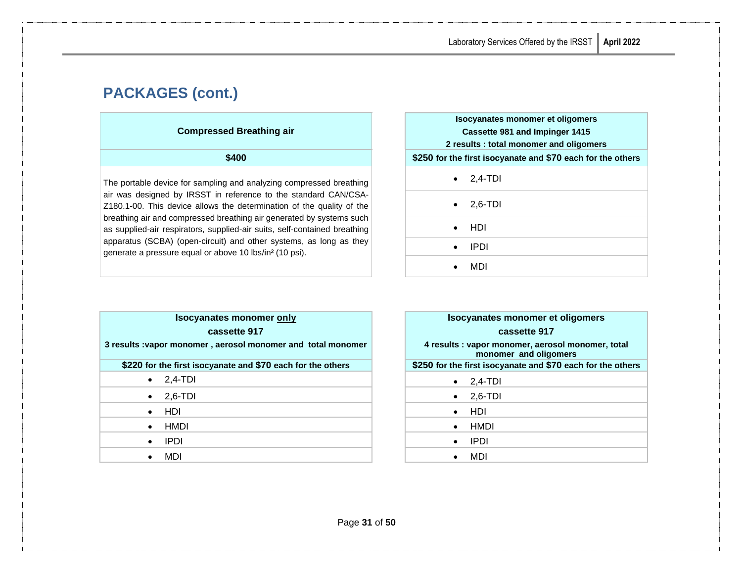# **PACKAGES (cont.)**

#### **Compressed Breathing air**

The portable device for sampling and analyzing compressed breathing air was designed by IRSST in reference to the standard CAN/CSA-Z180.1-00. This device allows the determination of the quality of the breathing air and compressed breathing air generated by systems such as supplied-air respirators, supplied-air suits, self-contained breathing apparatus (SCBA) (open-circuit) and other systems, as long as they generate a pressure equal or above 10 lbs/in² (10 psi).

| ed Breathing air                                                                                                                                                                                                                                | Isocyanates monomer et oligomers<br>Cassette 981 and Impinger 1415                                    |
|-------------------------------------------------------------------------------------------------------------------------------------------------------------------------------------------------------------------------------------------------|-------------------------------------------------------------------------------------------------------|
| \$400                                                                                                                                                                                                                                           | 2 results: total monomer and oligomers<br>\$250 for the first isocyanate and \$70 each for the others |
| and analyzing compressed breathing                                                                                                                                                                                                              | $2.4-TDI$<br>$\bullet$                                                                                |
| reference to the standard CAN/CSA-<br>he determination of the quality of the<br>eathing air generated by systems such<br>lied-air suits, self-contained breathing<br>and other systems, as long as they<br>yve 10 lbs/in <sup>2</sup> (10 psi). | $2.6 - TDI$                                                                                           |
|                                                                                                                                                                                                                                                 | HDI                                                                                                   |
|                                                                                                                                                                                                                                                 | <b>IPDI</b>                                                                                           |
|                                                                                                                                                                                                                                                 | MDI                                                                                                   |

| <b>Isocyanates monomer only</b>                              | Isocyanates monomer et oligomers                                           |
|--------------------------------------------------------------|----------------------------------------------------------------------------|
| cassette 917                                                 | cassette 917                                                               |
| 3 results : vapor monomer, aerosol monomer and total monomer | 4 results : vapor monomer, aerosol monomer, total<br>monomer and oligomers |
| \$220 for the first isocyanate and \$70 each for the others  | \$250 for the first isocyanate and \$70 each for the others                |
| 2,4-TDI<br>$\bullet$                                         | $\bullet$ 2,4-TDI                                                          |
| $2,6$ -TDI<br>$\bullet$                                      | 2,6-TDI<br>$\bullet$                                                       |
| <b>HDI</b><br>$\bullet$                                      | HDI<br>$\bullet$                                                           |
| HMDI<br>$\bullet$                                            | HMDI<br>$\bullet$                                                          |
| <b>IPDI</b><br>$\bullet$                                     | <b>IPDI</b><br>$\bullet$                                                   |
| MDI                                                          | MDI                                                                        |

| Isocyanates monomer et oligomers |                                                                            |
|----------------------------------|----------------------------------------------------------------------------|
|                                  | cassette 917                                                               |
|                                  | 4 results : vapor monomer, aerosol monomer, total<br>monomer and oligomers |
|                                  | \$250 for the first isocyanate and \$70 each for the others                |
|                                  | $2,4-TDI$                                                                  |
|                                  | $2,6-TDI$                                                                  |
|                                  | HDI                                                                        |
|                                  | HMDI                                                                       |
|                                  | IPDI                                                                       |
|                                  | MDI                                                                        |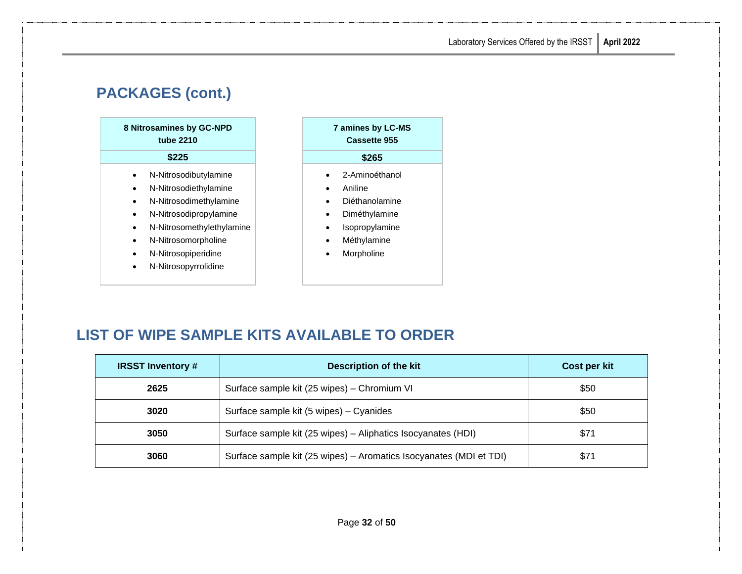# **PACKAGES (cont.)**



- N-Nitrosopiperidine
- N-Nitrosopyrrolidine

| <b>7 amines by LC-MS</b><br>Cassette 955 |
|------------------------------------------|
| \$265                                    |
| 2-Aminoéthanol                           |
| Aniline                                  |
|                                          |

- Diéthanolamine
- Diméthylamine
- Isopropylamine
- Méthylamine
- **Morpholine**

# <span id="page-34-0"></span>**LIST OF WIPE SAMPLE KITS AVAILABLE TO ORDER**

| <b>IRSST Inventory#</b> | <b>Description of the kit</b>                                      | Cost per kit |
|-------------------------|--------------------------------------------------------------------|--------------|
| 2625                    | Surface sample kit (25 wipes) - Chromium VI                        | \$50         |
| 3020                    | Surface sample kit (5 wipes) - Cyanides                            | \$50         |
| 3050                    | Surface sample kit (25 wipes) - Aliphatics Isocyanates (HDI)       | \$71         |
| 3060                    | Surface sample kit (25 wipes) - Aromatics Isocyanates (MDI et TDI) | \$71         |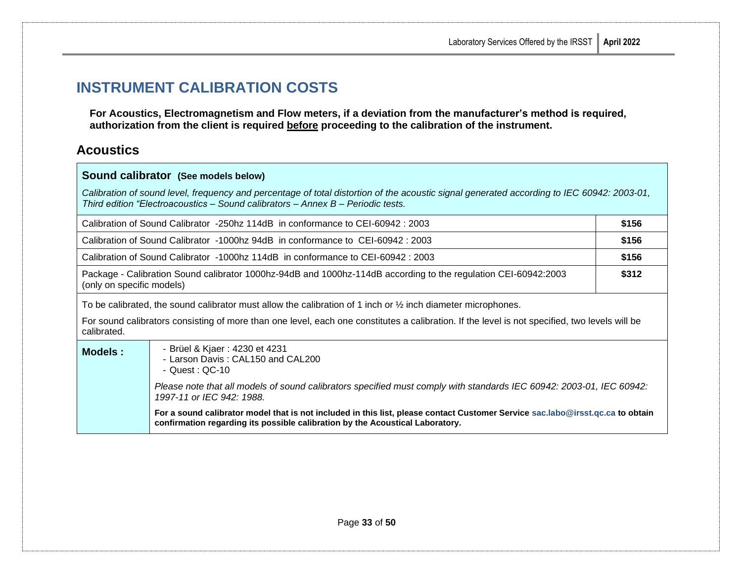# <span id="page-35-0"></span>**INSTRUMENT CALIBRATION COSTS**

**Sound calibrator (See models below)**

**For Acoustics, Electromagnetism and Flow meters, if a deviation from the manufacturer's method is required, authorization from the client is required before proceeding to the calibration of the instrument.**

### <span id="page-35-1"></span>**Acoustics**

| Sourid Calibrator (See models below)                                                                                                                                                                                          |  |  |
|-------------------------------------------------------------------------------------------------------------------------------------------------------------------------------------------------------------------------------|--|--|
| Calibration of sound level, frequency and percentage of total distortion of the acoustic signal generated according to IEC 60942: 2003-01,<br>Third edition "Electroacoustics – Sound calibrators – Annex B – Periodic tests. |  |  |
| \$156<br>Calibration of Sound Calibrator -250hz 114dB in conformance to CEI-60942: 2003                                                                                                                                       |  |  |
| \$156<br>Calibration of Sound Calibrator -1000hz 94dB in conformance to CEI-60942: 2003                                                                                                                                       |  |  |
| \$156<br>Calibration of Sound Calibrator -1000hz 114dB in conformance to CEI-60942 : 2003                                                                                                                                     |  |  |
| \$312<br>Package - Calibration Sound calibrator 1000hz-94dB and 1000hz-114dB according to the regulation CEI-60942:2003<br>(only on specific models)                                                                          |  |  |
| To be calibrated, the sound calibrator must allow the calibration of 1 inch or $\frac{1}{2}$ inch diameter microphones.                                                                                                       |  |  |
| For sound calibrators consisting of more than one level, each one constitutes a calibration. If the level is not specified, two levels will be<br>calibrated.                                                                 |  |  |
| - Brüel & Kjaer : 4230 et 4231<br><b>Models:</b><br>- Larson Davis: CAL150 and CAL200<br>- Quest : QC-10                                                                                                                      |  |  |
| Please note that all models of sound calibrators specified must comply with standards IEC 60942: 2003-01, IEC 60942:<br>1997-11 or IEC 942: 1988.                                                                             |  |  |
| For a sound calibrator model that is not included in this list, please contact Customer Service sac.labo@irsst.qc.ca to obtain<br>confirmation regarding its possible calibration by the Acoustical Laboratory.               |  |  |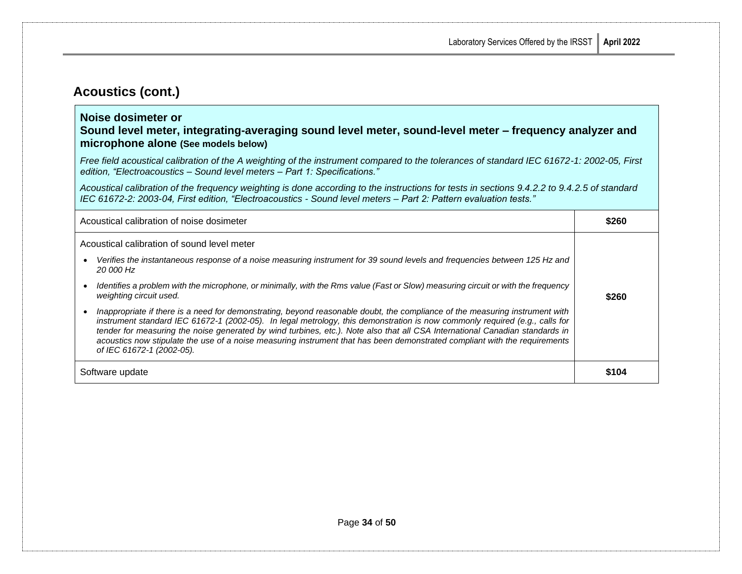### **Acoustics (cont.)**

#### **Noise dosimeter or**

#### **Sound level meter, integrating-averaging sound level meter, sound-level meter – frequency analyzer and microphone alone (See models below)**

*Free field acoustical calibration of the A weighting of the instrument compared to the tolerances of standard IEC 61672-1: 2002-05, First edition, "Electroacoustics – Sound level meters – Part 1: Specifications."*

*Acoustical calibration of the frequency weighting is done according to the instructions for tests in sections 9.4.2.2 to 9.4.2.5 of standard IEC 61672-2: 2003-04, First edition, "Electroacoustics - Sound level meters – Part 2: Pattern evaluation tests."*

| Acoustical calibration of noise dosimeter                                                                                                                                                                                                                                                                                                                                                                                                                                                                                                              |       |
|--------------------------------------------------------------------------------------------------------------------------------------------------------------------------------------------------------------------------------------------------------------------------------------------------------------------------------------------------------------------------------------------------------------------------------------------------------------------------------------------------------------------------------------------------------|-------|
| Acoustical calibration of sound level meter<br>Verifies the instantaneous response of a noise measuring instrument for 39 sound levels and frequencies between 125 Hz and<br>20 000 Hz<br>Identifies a problem with the microphone, or minimally, with the Rms value (Fast or Slow) measuring circuit or with the frequency<br>weighting circuit used.<br>\$260                                                                                                                                                                                        |       |
| Inappropriate if there is a need for demonstrating, beyond reasonable doubt, the compliance of the measuring instrument with<br>instrument standard IEC 61672-1 (2002-05). In legal metrology, this demonstration is now commonly required (e.g., calls for<br>tender for measuring the noise generated by wind turbines, etc.). Note also that all CSA International Canadian standards in<br>acoustics now stipulate the use of a noise measuring instrument that has been demonstrated compliant with the requirements<br>of IEC 61672-1 (2002-05). |       |
| Software update                                                                                                                                                                                                                                                                                                                                                                                                                                                                                                                                        | \$104 |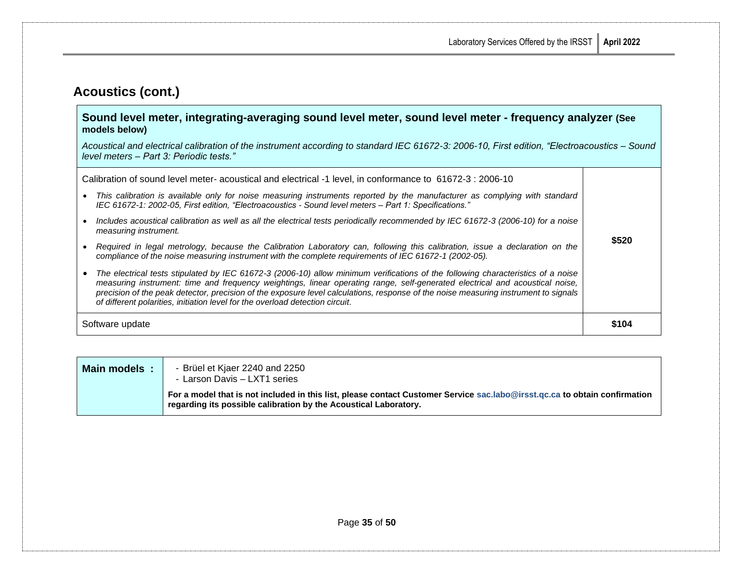### **Acoustics (cont.)**

#### **Sound level meter, integrating-averaging sound level meter, sound level meter - frequency analyzer (See models below)**

*Acoustical and electrical calibration of the instrument according to standard IEC 61672-3: 2006-10, First edition, "Electroacoustics – Sound level meters – Part 3: Periodic tests."*

| Software update                                                                                                                                                                                                                                                                                                                                                                                                                                                                          | \$104 |
|------------------------------------------------------------------------------------------------------------------------------------------------------------------------------------------------------------------------------------------------------------------------------------------------------------------------------------------------------------------------------------------------------------------------------------------------------------------------------------------|-------|
| The electrical tests stipulated by IEC 61672-3 (2006-10) allow minimum verifications of the following characteristics of a noise<br>measuring instrument: time and frequency weightings, linear operating range, self-generated electrical and acoustical noise,<br>precision of the peak detector, precision of the exposure level calculations, response of the noise measuring instrument to signals<br>of different polarities, initiation level for the overload detection circuit. |       |
| Required in legal metrology, because the Calibration Laboratory can, following this calibration, issue a declaration on the<br>compliance of the noise measuring instrument with the complete requirements of IEC 61672-1 (2002-05).                                                                                                                                                                                                                                                     | \$520 |
| Includes acoustical calibration as well as all the electrical tests periodically recommended by IEC 61672-3 (2006-10) for a noise<br>measuring instrument.                                                                                                                                                                                                                                                                                                                               |       |
| This calibration is available only for noise measuring instruments reported by the manufacturer as complying with standard<br>IEC 61672-1: 2002-05, First edition, "Electroacoustics - Sound level meters - Part 1: Specifications."                                                                                                                                                                                                                                                     |       |
| Calibration of sound level meter- acoustical and electrical -1 level, in conformance to 61672-3 : 2006-10                                                                                                                                                                                                                                                                                                                                                                                |       |

| Main models: | - Brüel et Kjaer 2240 and 2250<br>- Larson Davis - LXT1 series                                                                                                                                 |
|--------------|------------------------------------------------------------------------------------------------------------------------------------------------------------------------------------------------|
|              | For a model that is not included in this list, please contact Customer Service sac.labo@irsst.qc.ca to obtain confirmation<br>regarding its possible calibration by the Acoustical Laboratory. |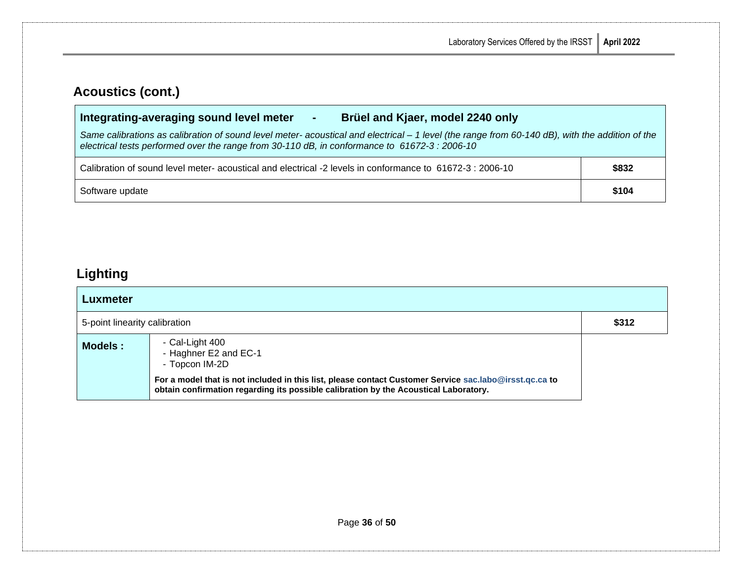### **Acoustics (cont.)**

### **Integrating-averaging sound level meter - Brüel and Kjaer, model 2240 only**

*Same calibrations as calibration of sound level meter- acoustical and electrical – 1 level (the range from 60-140 dB), with the addition of the electrical tests performed over the range from 30-110 dB, in conformance to 61672-3 : 2006-10*

| Calibration of sound level meter- acoustical and electrical -2 levels in conformance to 61672-3 : 2006-10 | \$832 |
|-----------------------------------------------------------------------------------------------------------|-------|
| Software update                                                                                           | \$104 |

### <span id="page-38-0"></span>**Lighting**

| Luxmeter                      |                                                                                                                                                                                                |       |
|-------------------------------|------------------------------------------------------------------------------------------------------------------------------------------------------------------------------------------------|-------|
| 5-point linearity calibration |                                                                                                                                                                                                | \$312 |
| Models:                       | - Cal-Light 400<br>- Haghner E2 and EC-1<br>- Topcon IM-2D                                                                                                                                     |       |
|                               | For a model that is not included in this list, please contact Customer Service sac.labo@irsst.qc.ca to<br>obtain confirmation regarding its possible calibration by the Acoustical Laboratory. |       |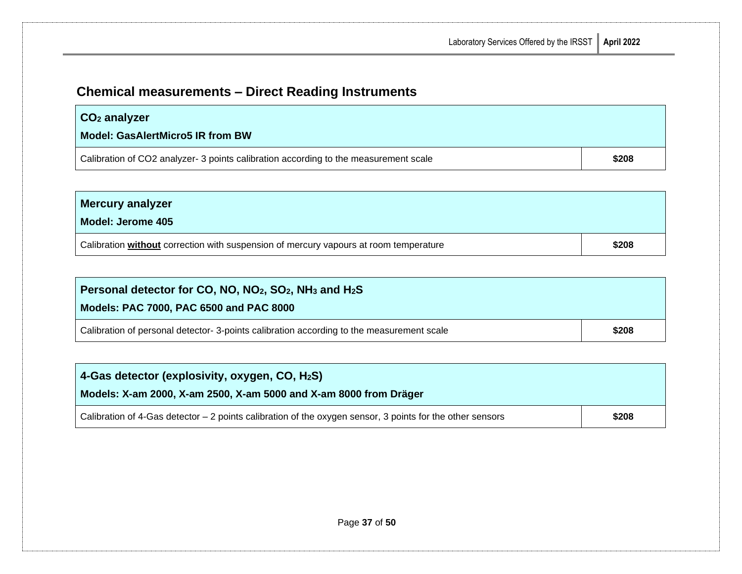# <span id="page-39-0"></span>**Chemical measurements – Direct Reading Instruments**

| $\mid$ CO <sub>2</sub> analyzer                                                      |       |
|--------------------------------------------------------------------------------------|-------|
| <b>Model: GasAlertMicro5 IR from BW</b>                                              |       |
| Calibration of CO2 analyzer- 3 points calibration according to the measurement scale | \$208 |

| <b>Mercury analyzer</b><br>Model: Jerome 405                                          |       |
|---------------------------------------------------------------------------------------|-------|
| Calibration without correction with suspension of mercury vapours at room temperature | \$208 |

| Personal detector for CO, NO, NO <sub>2</sub> , SO <sub>2</sub> , NH <sub>3</sub> and H <sub>2</sub> S |       |
|--------------------------------------------------------------------------------------------------------|-------|
| Models: PAC 7000, PAC 6500 and PAC 8000                                                                |       |
| Calibration of personal detector-3-points calibration according to the measurement scale               | \$208 |

| 4-Gas detector (explosivity, oxygen, CO, H <sub>2</sub> S)<br>Models: X-am 2000, X-am 2500, X-am 5000 and X-am 8000 from Dräger |       |
|---------------------------------------------------------------------------------------------------------------------------------|-------|
| Calibration of 4-Gas detector $-2$ points calibration of the oxygen sensor, 3 points for the other sensors                      | \$208 |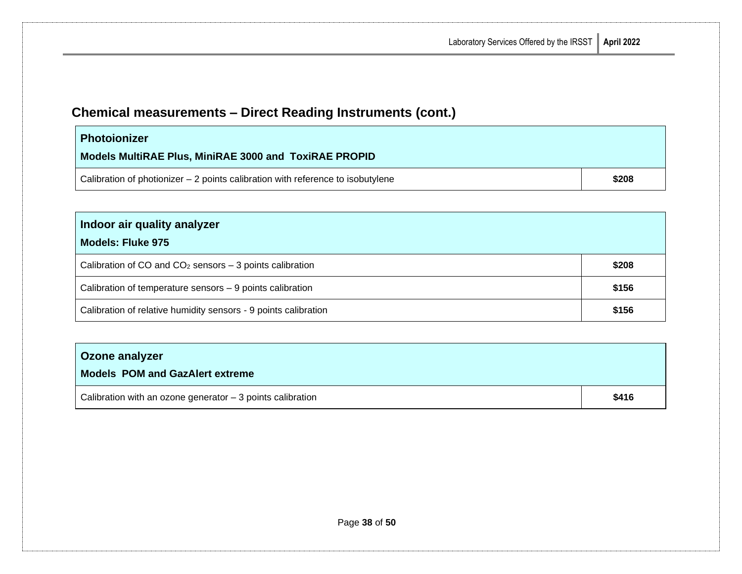# **Chemical measurements – Direct Reading Instruments (cont.)**

| <b>Photoionizer</b><br>Models MultiRAE Plus, MiniRAE 3000 and ToxiRAE PROPID     |       |
|----------------------------------------------------------------------------------|-------|
| Calibration of photionizer $-2$ points calibration with reference to isobutylene | \$208 |

| Indoor air quality analyzer |  |
|-----------------------------|--|
|-----------------------------|--|

### **Models: Fluke 975**

| Calibration of CO and $CO2$ sensors – 3 points calibration      | \$208 |
|-----------------------------------------------------------------|-------|
| Calibration of temperature sensors - 9 points calibration       | \$156 |
| Calibration of relative humidity sensors - 9 points calibration | \$156 |

#### **Ozone analyzer**

#### **Models POM and GazAlert extreme**

| $\vert$ Calibration with an ozone generator $-3$ points calibration | \$416 |
|---------------------------------------------------------------------|-------|
|                                                                     |       |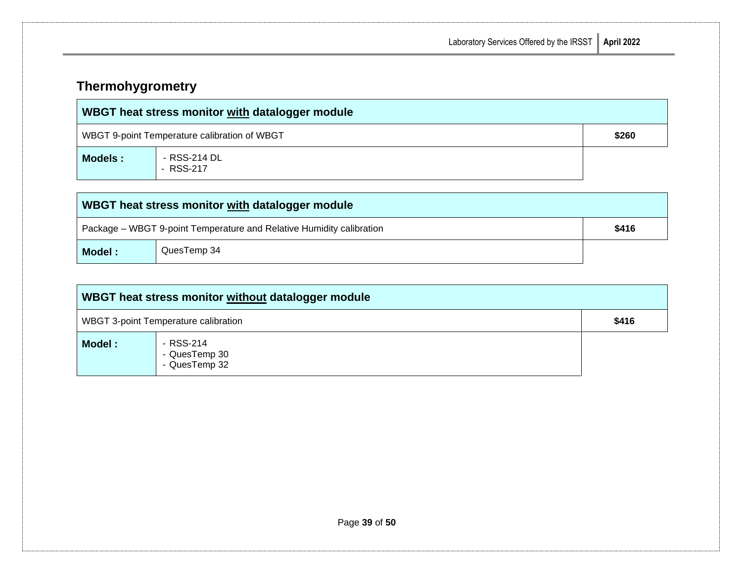<span id="page-41-0"></span>

| <b>Thermohygrometry</b> |  |
|-------------------------|--|
|-------------------------|--|

| WBGT heat stress monitor with datalogger module |                                              |       |
|-------------------------------------------------|----------------------------------------------|-------|
|                                                 | WBGT 9-point Temperature calibration of WBGT | \$260 |
| Models :                                        | - RSS-214 DL<br>- RSS-217                    |       |

| WBGT heat stress monitor with datalogger module                      |             |  |  |  |
|----------------------------------------------------------------------|-------------|--|--|--|
| Package – WBGT 9-point Temperature and Relative Humidity calibration |             |  |  |  |
| Model:                                                               | QuesTemp 34 |  |  |  |

| WBGT heat stress monitor without datalogger module |                                             |       |  |
|----------------------------------------------------|---------------------------------------------|-------|--|
|                                                    | <b>WBGT 3-point Temperature calibration</b> | \$416 |  |
| Model:                                             | - RSS-214<br>- QuesTemp 30<br>- QuesTemp 32 |       |  |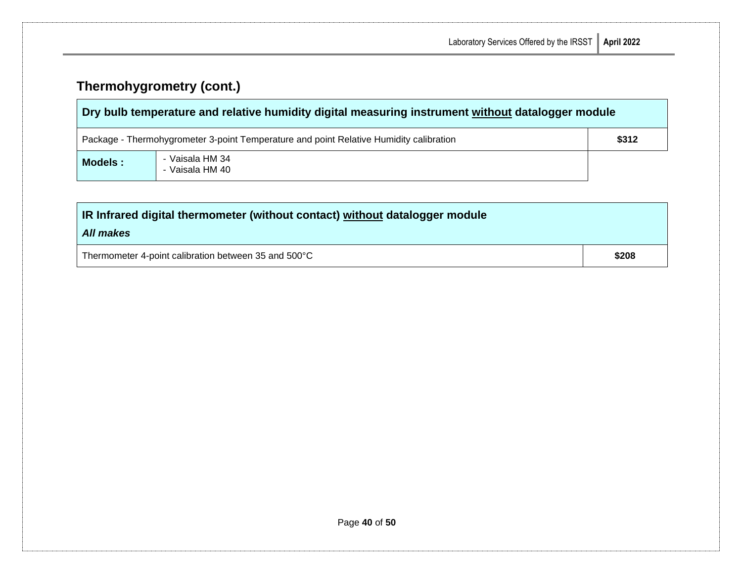# **Thermohygrometry (cont.)**

| Dry bulb temperature and relative humidity digital measuring instrument without datalogger module |                                    |  |  |  |
|---------------------------------------------------------------------------------------------------|------------------------------------|--|--|--|
| \$312<br>Package - Thermohygrometer 3-point Temperature and point Relative Humidity calibration   |                                    |  |  |  |
| Models:                                                                                           | - Vaisala HM 34<br>- Vaisala HM 40 |  |  |  |

| IR Infrared digital thermometer (without contact) without datalogger module |       |  |
|-----------------------------------------------------------------------------|-------|--|
| All makes                                                                   |       |  |
| Thermometer 4-point calibration between 35 and 500°C                        | \$208 |  |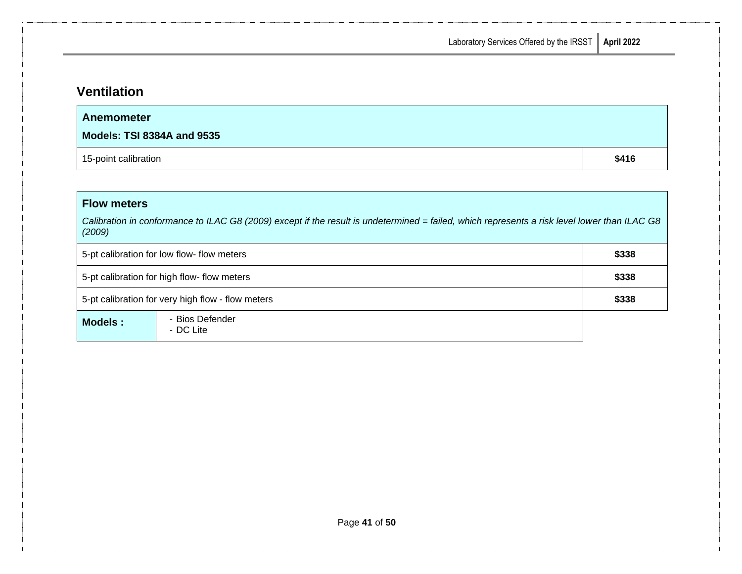## <span id="page-43-0"></span>**Ventilation**

| Anemometer<br><b>Models: TSI 8384A and 9535</b> |       |
|-------------------------------------------------|-------|
| 15-point calibration                            | \$416 |

### **Flow meters**

*Calibration in conformance to ILAC G8 (2009) except if the result is undetermined = failed, which represents a risk level lower than ILAC G8 (2009)*

| 5-pt calibration for low flow- flow meters        |                              | \$338 |
|---------------------------------------------------|------------------------------|-------|
| 5-pt calibration for high flow- flow meters       |                              | \$338 |
| 5-pt calibration for very high flow - flow meters |                              | \$338 |
| Models:                                           | - Bios Defender<br>- DC Lite |       |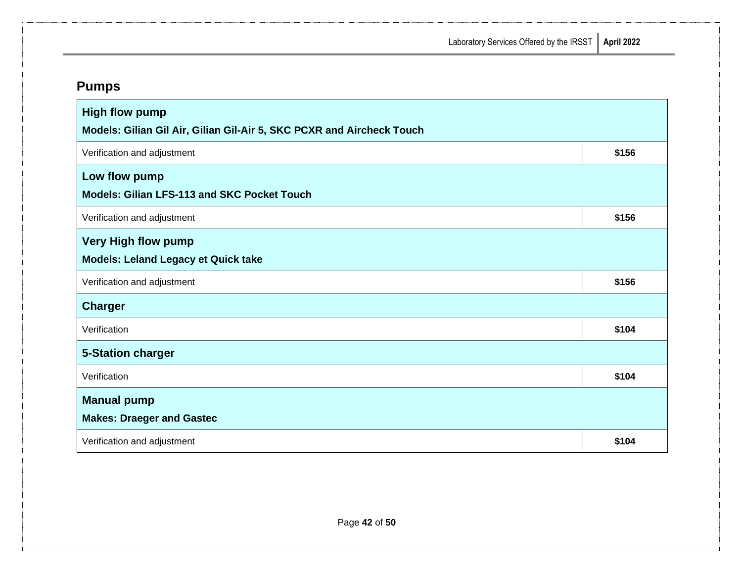**Laboratory Services Offered** 

| ed by the IRSST $\parallel$ April 2022 |  |
|----------------------------------------|--|
|                                        |  |

<span id="page-44-0"></span>

| <b>High flow pump</b><br>Models: Gilian Gil Air, Gilian Gil-Air 5, SKC PCXR and Aircheck Touch |       |  |  |
|------------------------------------------------------------------------------------------------|-------|--|--|
| Verification and adjustment                                                                    | \$156 |  |  |
| Low flow pump<br><b>Models: Gilian LFS-113 and SKC Pocket Touch</b>                            |       |  |  |
| Verification and adjustment                                                                    | \$156 |  |  |
| <b>Very High flow pump</b><br><b>Models: Leland Legacy et Quick take</b>                       |       |  |  |
| Verification and adjustment                                                                    | \$156 |  |  |
| <b>Charger</b>                                                                                 |       |  |  |
| Verification                                                                                   | \$104 |  |  |
| <b>5-Station charger</b>                                                                       |       |  |  |
| Verification                                                                                   | \$104 |  |  |
| <b>Manual pump</b><br><b>Makes: Draeger and Gastec</b>                                         |       |  |  |
| Verification and adjustment                                                                    | \$104 |  |  |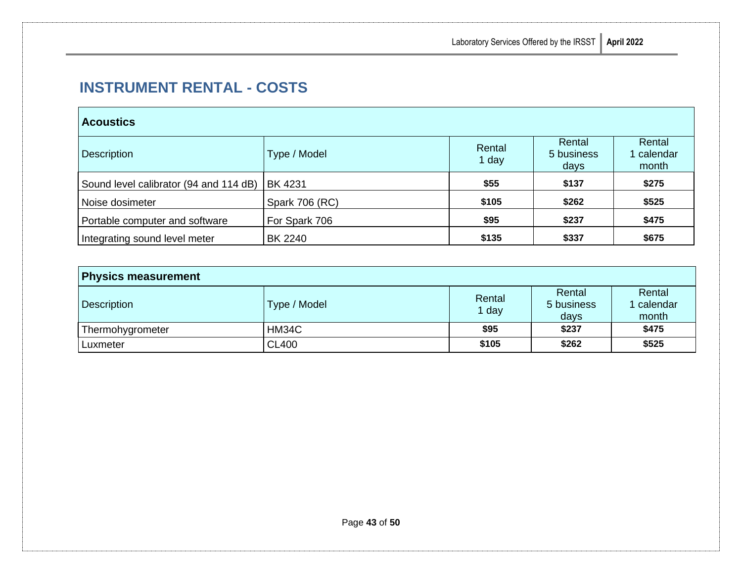# <span id="page-45-0"></span>**INSTRUMENT RENTAL - COSTS**

### **Acoustics**

| <b>Description</b>                     | Type / Model          | Rental<br>1 day | Rental<br>5 business<br>days | Rental<br>calendar<br>month |
|----------------------------------------|-----------------------|-----------------|------------------------------|-----------------------------|
| Sound level calibrator (94 and 114 dB) | <b>BK 4231</b>        | \$55            | \$137                        | \$275                       |
| Noise dosimeter                        | <b>Spark 706 (RC)</b> | \$105           | \$262                        | \$525                       |
| Portable computer and software         | For Spark 706         | \$95            | \$237                        | \$475                       |
| Integrating sound level meter          | <b>BK 2240</b>        | \$135           | \$337                        | \$675                       |

| <b>Physics measurement</b> |              |               |                              |                             |
|----------------------------|--------------|---------------|------------------------------|-----------------------------|
| <b>Description</b>         | Type / Model | Rental<br>day | Rental<br>5 business<br>days | Rental<br>calendar<br>month |
| Thermohygrometer           | HM34C        | \$95          | \$237                        | \$475                       |
| Luxmeter                   | <b>CL400</b> | \$105         | \$262                        | \$525                       |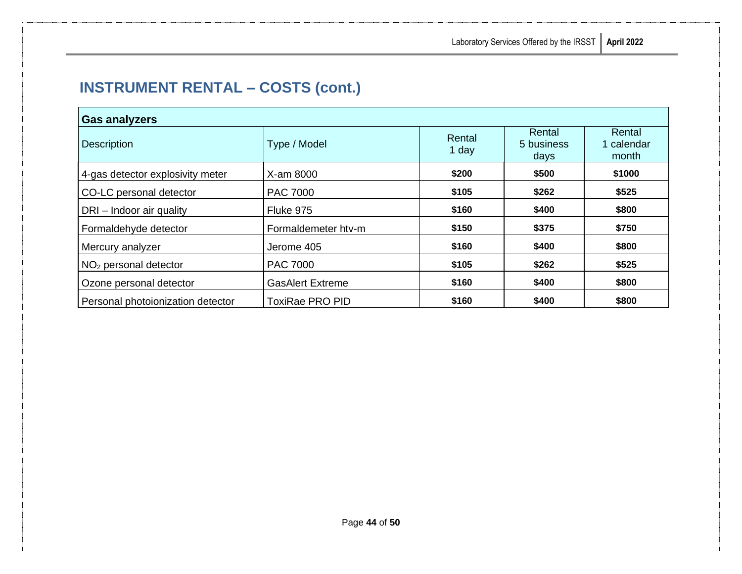| <b>Gas analyzers</b>              |                         |                 |                              |                               |  |
|-----------------------------------|-------------------------|-----------------|------------------------------|-------------------------------|--|
| <b>Description</b>                | Type / Model            | Rental<br>1 day | Rental<br>5 business<br>days | Rental<br>1 calendar<br>month |  |
| 4-gas detector explosivity meter  | X-am 8000               | \$200           | \$500                        | \$1000                        |  |
| CO-LC personal detector           | <b>PAC 7000</b>         | \$105           | \$262                        | \$525                         |  |
| DRI - Indoor air quality          | Fluke 975               | \$160           | \$400                        | \$800                         |  |
| Formaldehyde detector             | Formaldemeter htv-m     | \$150           | \$375                        | \$750                         |  |
| Mercury analyzer                  | Jerome 405              | \$160           | \$400                        | \$800                         |  |
| $NO2$ personal detector           | <b>PAC 7000</b>         | \$105           | \$262                        | \$525                         |  |
| Ozone personal detector           | <b>GasAlert Extreme</b> | \$160           | \$400                        | \$800                         |  |
| Personal photoionization detector | <b>ToxiRae PRO PID</b>  | \$160           | \$400                        | \$800                         |  |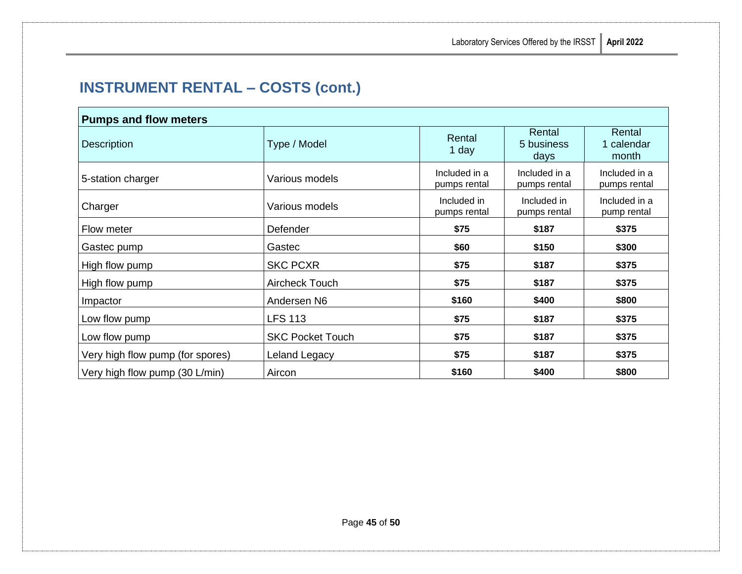| <b>Pumps and flow meters</b>     |                         |                               |                               |                               |
|----------------------------------|-------------------------|-------------------------------|-------------------------------|-------------------------------|
| <b>Description</b>               | Type / Model            | Rental<br>1 day               | Rental<br>5 business<br>days  | Rental<br>1 calendar<br>month |
| 5-station charger                | Various models          | Included in a<br>pumps rental | Included in a<br>pumps rental | Included in a<br>pumps rental |
| Charger                          | Various models          | Included in<br>pumps rental   | Included in<br>pumps rental   | Included in a<br>pump rental  |
| Flow meter                       | Defender                | \$75                          | \$187                         | \$375                         |
| Gastec pump                      | Gastec                  | \$60                          | \$150                         | \$300                         |
| High flow pump                   | <b>SKC PCXR</b>         | \$75                          | \$187                         | \$375                         |
| High flow pump                   | Aircheck Touch          | \$75                          | \$187                         | \$375                         |
| Impactor                         | Andersen N6             | \$160                         | \$400                         | \$800                         |
| Low flow pump                    | <b>LFS 113</b>          | \$75                          | \$187                         | \$375                         |
| Low flow pump                    | <b>SKC Pocket Touch</b> | \$75                          | \$187                         | \$375                         |
| Very high flow pump (for spores) | Leland Legacy           | \$75                          | \$187                         | \$375                         |
| Very high flow pump (30 L/min)   | Aircon                  | \$160                         | \$400                         | \$800                         |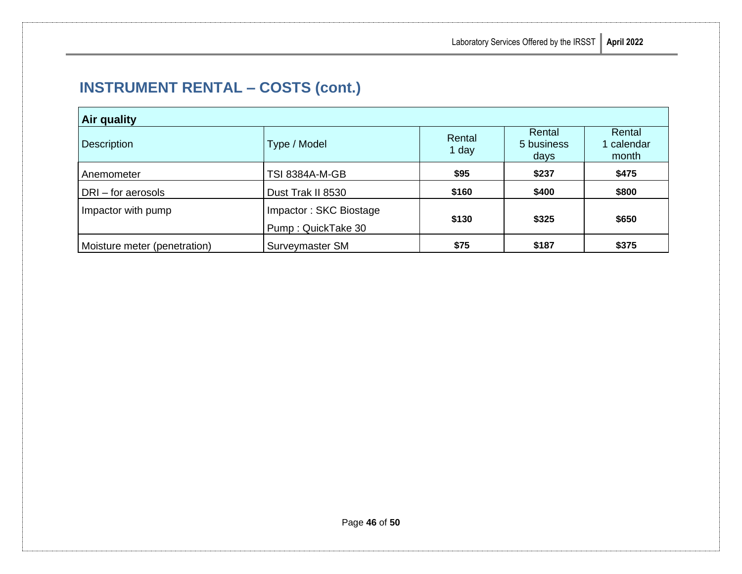| Air quality                  |                                              |                 |                              |                             |
|------------------------------|----------------------------------------------|-----------------|------------------------------|-----------------------------|
| <b>Description</b>           | Type / Model                                 | Rental<br>1 day | Rental<br>5 business<br>days | Rental<br>calendar<br>month |
| Anemometer                   | <b>TSI 8384A-M-GB</b>                        | \$95            | \$237                        | \$475                       |
| DRI-for aerosols             | Dust Trak II 8530                            | \$160           | \$400                        | \$800                       |
| Impactor with pump           | Impactor: SKC Biostage<br>Pump: QuickTake 30 | \$130           | \$325                        | \$650                       |
| Moisture meter (penetration) | Surveymaster SM                              | \$75            | \$187                        | \$375                       |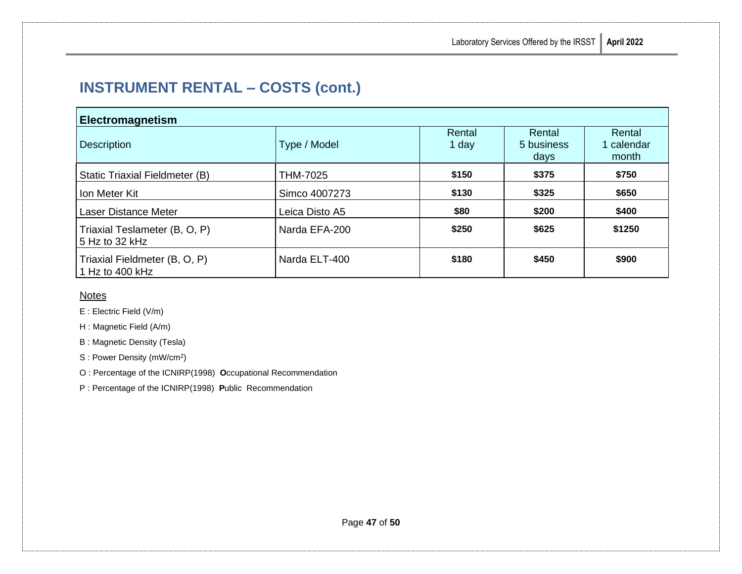| Electromagnetism                                 |                |                 |                              |                               |
|--------------------------------------------------|----------------|-----------------|------------------------------|-------------------------------|
| <b>Description</b>                               | Type / Model   | Rental<br>1 day | Rental<br>5 business<br>days | Rental<br>1 calendar<br>month |
| Static Triaxial Fieldmeter (B)                   | THM-7025       | \$150           | \$375                        | \$750                         |
| Ion Meter Kit                                    | Simco 4007273  | \$130           | \$325                        | \$650                         |
| Laser Distance Meter                             | Leica Disto A5 | \$80            | \$200                        | \$400                         |
| Triaxial Teslameter (B, O, P)<br>5 Hz to 32 kHz  | Narda EFA-200  | \$250           | \$625                        | \$1250                        |
| Triaxial Fieldmeter (B, O, P)<br>1 Hz to 400 kHz | Narda ELT-400  | \$180           | \$450                        | \$900                         |

#### **Notes**

E : Electric Field (V/m)

H : Magnetic Field (A/m)

B : Magnetic Density (Tesla)

S : Power Density (mW/cm<sup>2</sup>)

O : Percentage of the ICNIRP(1998) **O**ccupational Recommendation

P : Percentage of the ICNIRP(1998) **P**ublic Recommendation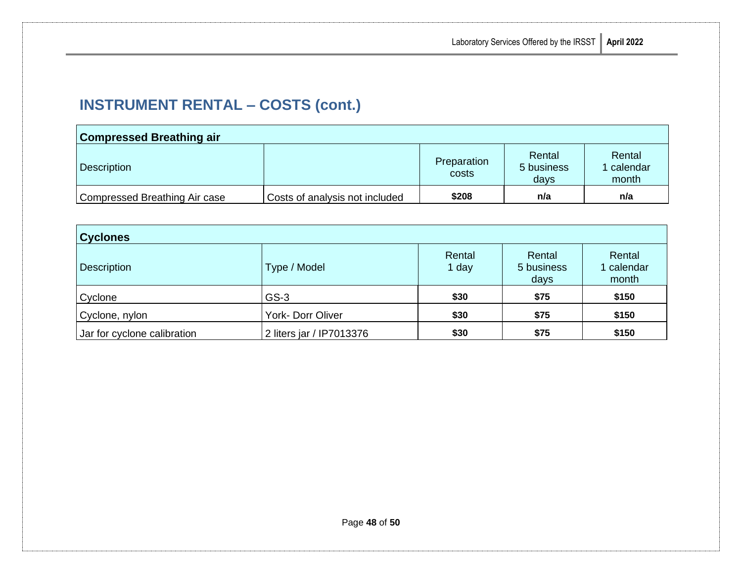| <b>Compressed Breathing air</b> |                                |                      |                              |                             |
|---------------------------------|--------------------------------|----------------------|------------------------------|-----------------------------|
| Description                     |                                | Preparation<br>costs | Rental<br>5 business<br>days | Rental<br>calendar<br>month |
| Compressed Breathing Air case   | Costs of analysis not included | \$208                | n/a                          | n/a                         |

| <b>Cyclones</b>             |                          |                 |                              |                             |
|-----------------------------|--------------------------|-----------------|------------------------------|-----------------------------|
| <b>Description</b>          | Type / Model             | Rental<br>1 day | Rental<br>5 business<br>days | Rental<br>calendar<br>month |
| Cyclone                     | $GS-3$                   | \$30            | \$75                         | \$150                       |
| Cyclone, nylon              | York- Dorr Oliver        | \$30            | \$75                         | \$150                       |
| Jar for cyclone calibration | 2 liters jar / IP7013376 | \$30            | \$75                         | \$150                       |